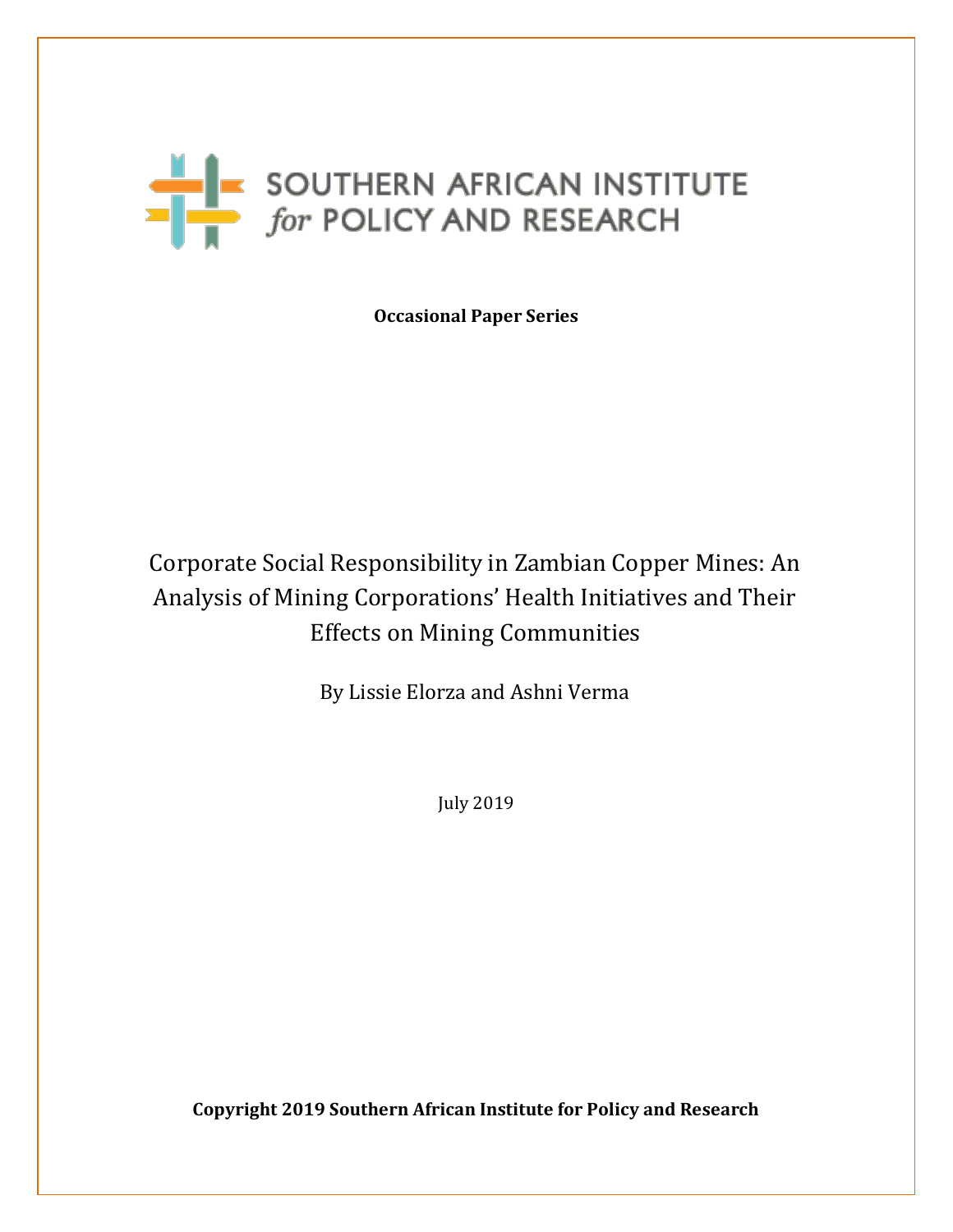# SOUTHERN AFRICAN INSTITUTE

**Occasional Paper Series**

# Corporate Social Responsibility in Zambian Copper Mines: An Analysis of Mining Corporations' Health Initiatives and Their Effects on Mining Communities

By Lissie Elorza and Ashni Verma

July 2019

**Copyright 2019 Southern African Institute for Policy and Research**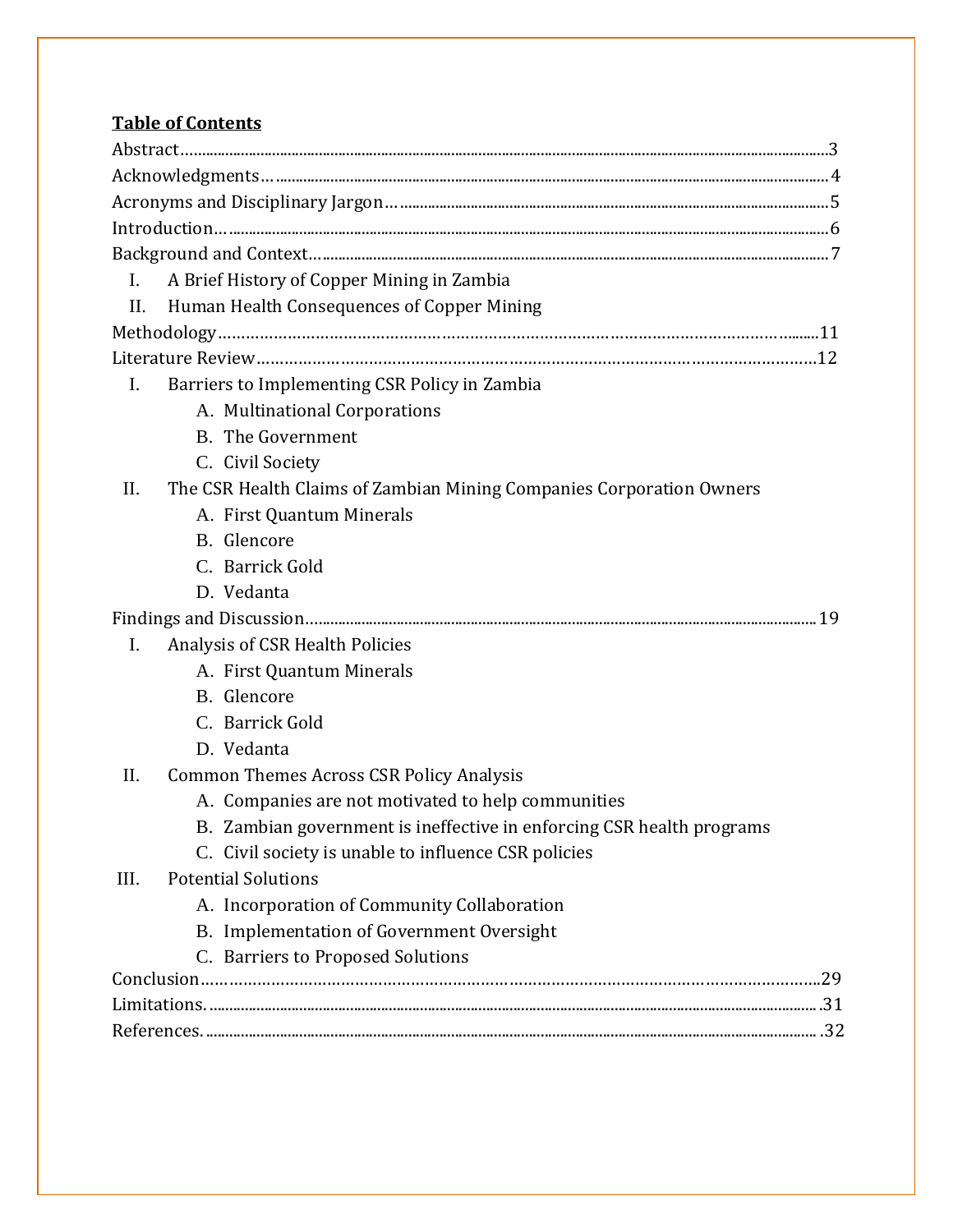# **Table of Contents**

| $\mathbf{I}$ . | A Brief History of Copper Mining in Zambia |                                                                       |  |  |  |
|----------------|--------------------------------------------|-----------------------------------------------------------------------|--|--|--|
| П.             | Human Health Consequences of Copper Mining |                                                                       |  |  |  |
|                |                                            |                                                                       |  |  |  |
|                |                                            |                                                                       |  |  |  |
| $\mathbf{I}$ . |                                            | Barriers to Implementing CSR Policy in Zambia                         |  |  |  |
|                |                                            | A. Multinational Corporations                                         |  |  |  |
|                |                                            | <b>B.</b> The Government                                              |  |  |  |
|                |                                            | C. Civil Society                                                      |  |  |  |
| II.            |                                            | The CSR Health Claims of Zambian Mining Companies Corporation Owners  |  |  |  |
|                |                                            | A. First Quantum Minerals                                             |  |  |  |
|                |                                            | B. Glencore                                                           |  |  |  |
|                |                                            | C. Barrick Gold                                                       |  |  |  |
|                |                                            | D. Vedanta                                                            |  |  |  |
|                |                                            |                                                                       |  |  |  |
| I.             |                                            | Analysis of CSR Health Policies                                       |  |  |  |
|                |                                            | A. First Quantum Minerals                                             |  |  |  |
|                |                                            | B. Glencore                                                           |  |  |  |
|                |                                            | C. Barrick Gold                                                       |  |  |  |
|                |                                            | D. Vedanta                                                            |  |  |  |
| II.            |                                            | <b>Common Themes Across CSR Policy Analysis</b>                       |  |  |  |
|                |                                            | A. Companies are not motivated to help communities                    |  |  |  |
|                |                                            | B. Zambian government is ineffective in enforcing CSR health programs |  |  |  |
|                |                                            | C. Civil society is unable to influence CSR policies                  |  |  |  |
| III.           |                                            | <b>Potential Solutions</b>                                            |  |  |  |
|                |                                            | A. Incorporation of Community Collaboration                           |  |  |  |
|                |                                            | B. Implementation of Government Oversight                             |  |  |  |
|                |                                            | C. Barriers to Proposed Solutions                                     |  |  |  |
|                |                                            |                                                                       |  |  |  |
|                |                                            |                                                                       |  |  |  |
|                |                                            |                                                                       |  |  |  |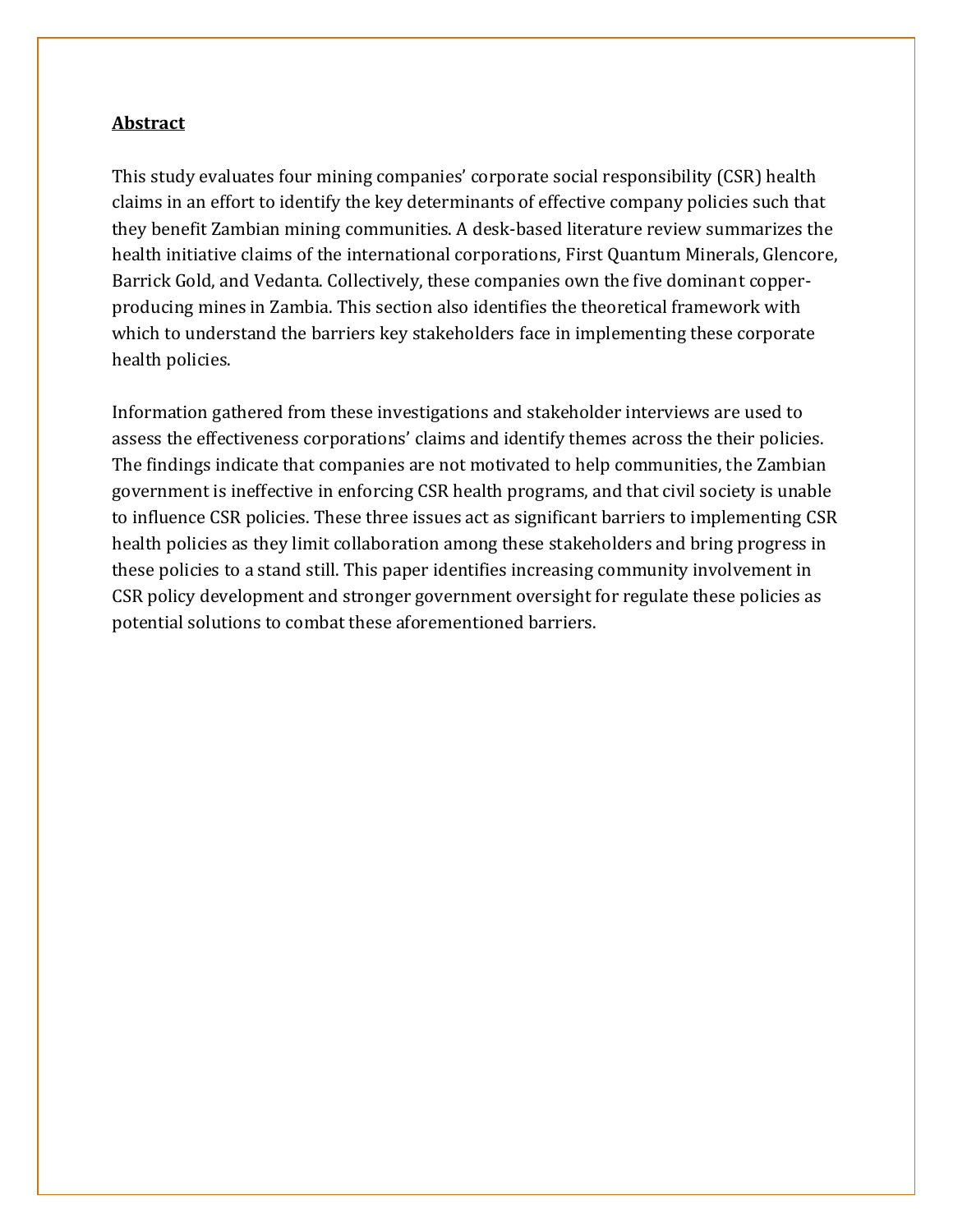#### <span id="page-2-0"></span>**Abstract**

This study evaluates four mining companies' corporate social responsibility (CSR) health claims in an effort to identify the key determinants of effective company policies such that they benefit Zambian mining communities. A desk-based literature review summarizes the health initiative claims of the international corporations, First Quantum Minerals, Glencore, Barrick Gold, and Vedanta. Collectively, these companies own the five dominant copperproducing mines in Zambia. This section also identifies the theoretical framework with which to understand the barriers key stakeholders face in implementing these corporate health policies.

Information gathered from these investigations and stakeholder interviews are used to assess the effectiveness corporations' claims and identify themes across the their policies. The findings indicate that companies are not motivated to help communities, the Zambian government is ineffective in enforcing CSR health programs, and that civil society is unable to influence CSR policies. These three issues act as significant barriers to implementing CSR health policies as they limit collaboration among these stakeholders and bring progress in these policies to a stand still. This paper identifies increasing community involvement in CSR policy development and stronger government oversight for regulate these policies as potential solutions to combat these aforementioned barriers.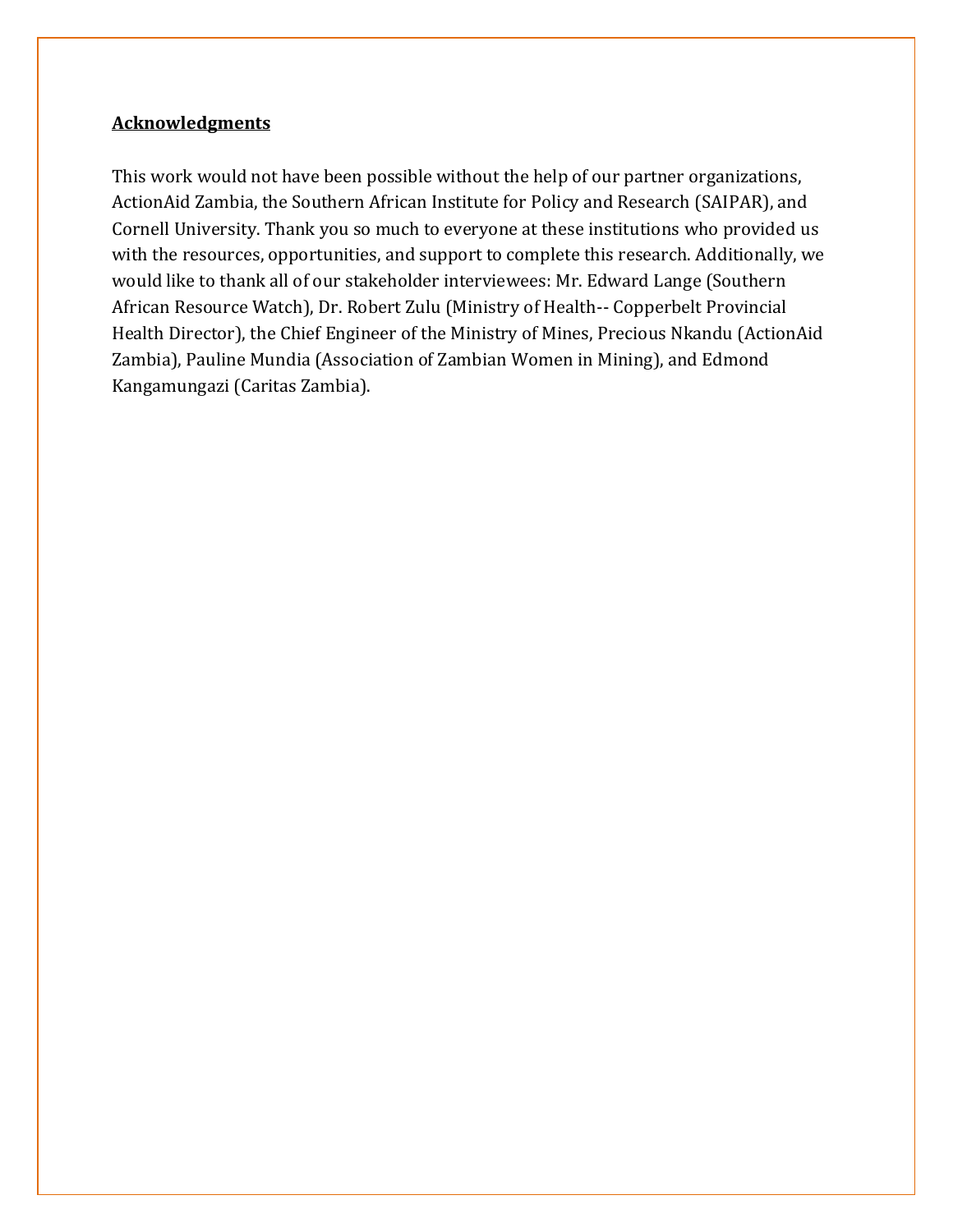## <span id="page-3-0"></span>**Acknowledgments**

This work would not have been possible without the help of our partner organizations, ActionAid Zambia, the Southern African Institute for Policy and Research (SAIPAR), and Cornell University. Thank you so much to everyone at these institutions who provided us with the resources, opportunities, and support to complete this research. Additionally, we would like to thank all of our stakeholder interviewees: Mr. Edward Lange (Southern African Resource Watch), Dr. Robert Zulu (Ministry of Health-- Copperbelt Provincial Health Director), the Chief Engineer of the Ministry of Mines, Precious Nkandu (ActionAid Zambia), Pauline Mundia (Association of Zambian Women in Mining), and Edmond Kangamungazi (Caritas Zambia).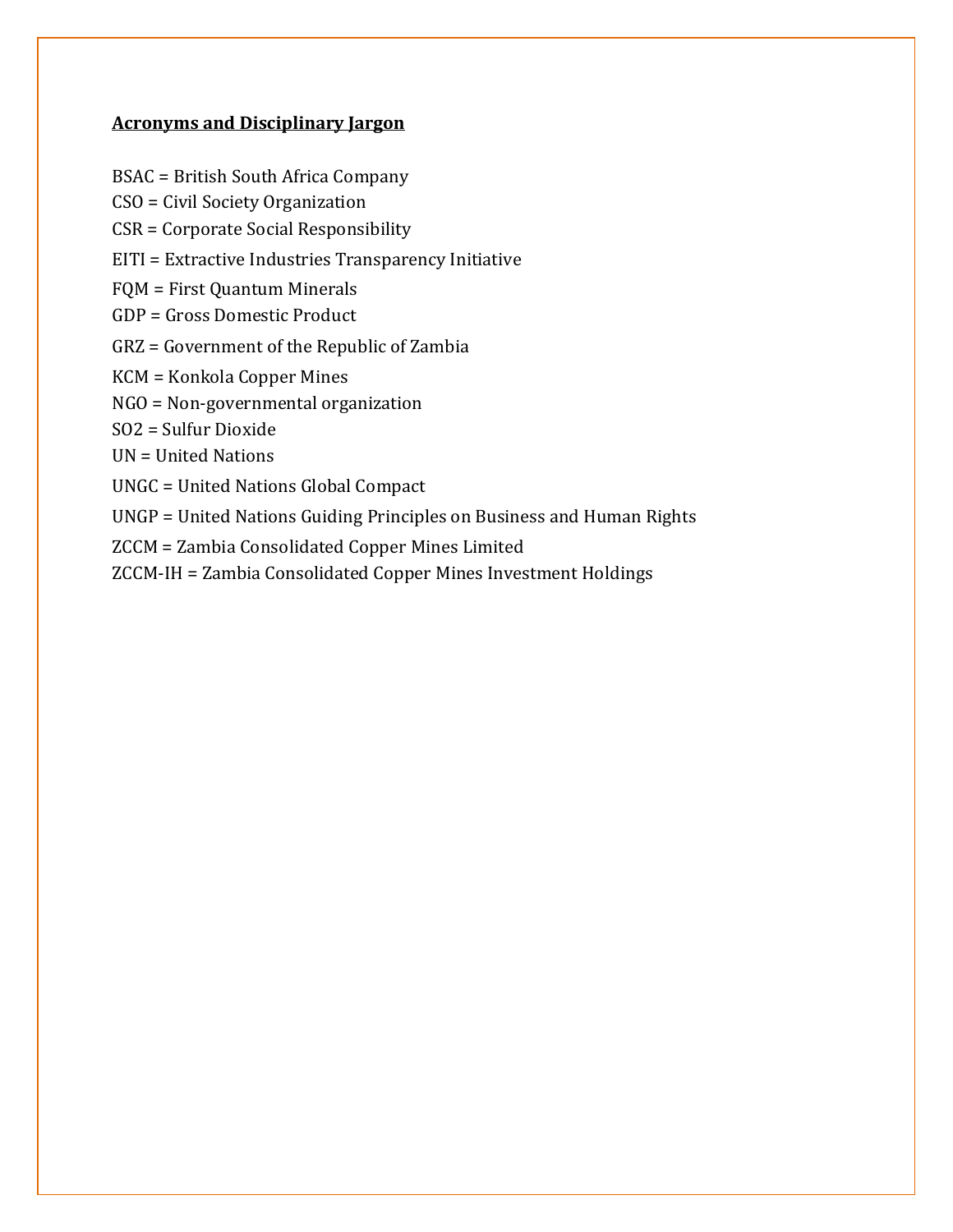# <span id="page-4-0"></span>**Acronyms and Disciplinary Jargon**

- BSAC = British South Africa Company
- CSO = Civil Society Organization
- CSR = Corporate Social Responsibility
- EITI = Extractive Industries Transparency Initiative
- FQM = First Quantum Minerals
- GDP = Gross Domestic Product
- GRZ = Government of the Republic of Zambia
- KCM = Konkola Copper Mines
- NGO = Non-governmental organization
- SO2 = Sulfur Dioxide
- UN = United Nations
- UNGC = United Nations Global Compact
- UNGP = United Nations Guiding Principles on Business and Human Rights
- ZCCM = Zambia Consolidated Copper Mines Limited
- ZCCM-IH = Zambia Consolidated Copper Mines Investment Holdings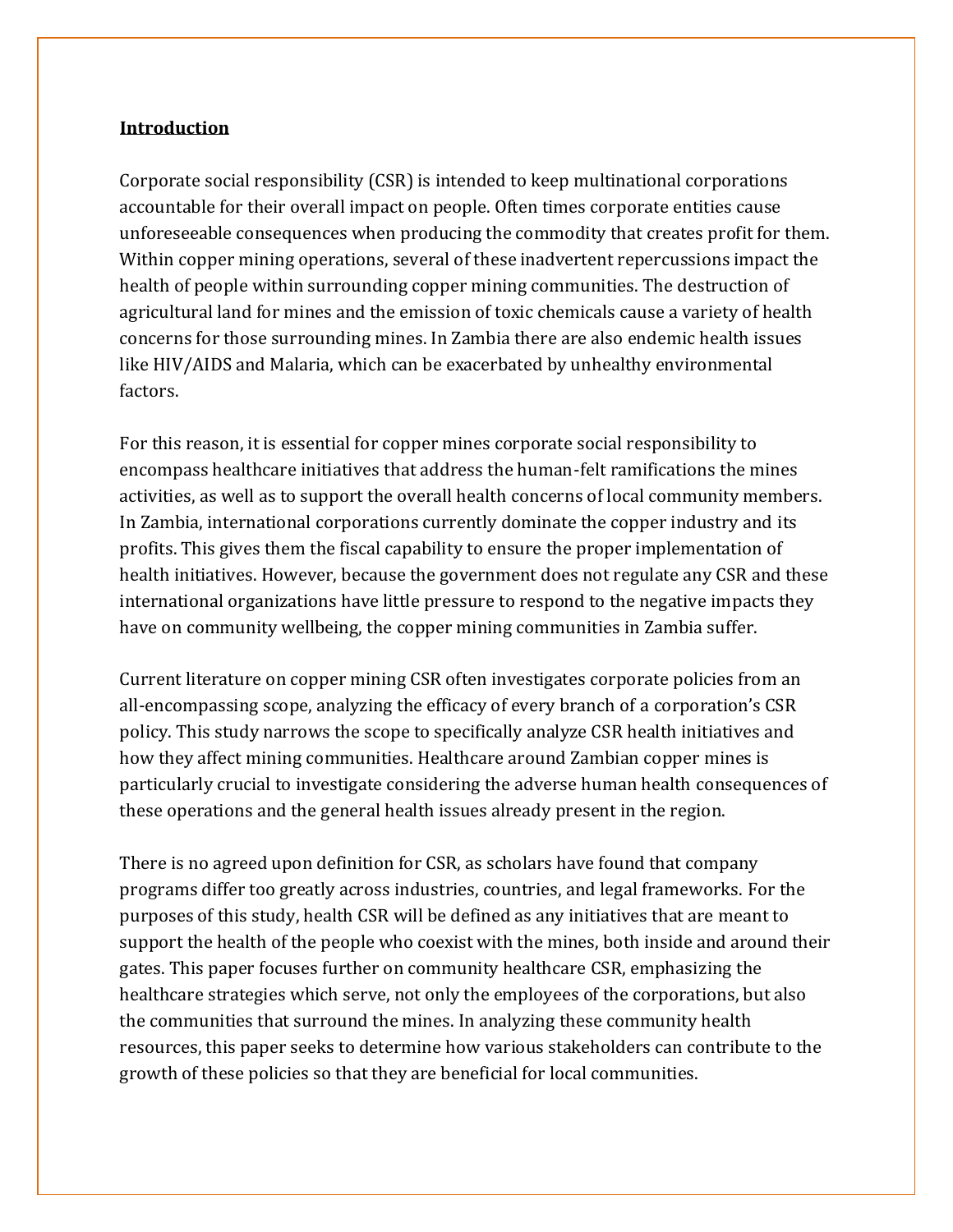#### <span id="page-5-0"></span>**Introduction**

Corporate social responsibility (CSR) is intended to keep multinational corporations accountable for their overall impact on people. Often times corporate entities cause unforeseeable consequences when producing the commodity that creates profit for them. Within copper mining operations, several of these inadvertent repercussions impact the health of people within surrounding copper mining communities. The destruction of agricultural land for mines and the emission of toxic chemicals cause a variety of health concerns for those surrounding mines. In Zambia there are also endemic health issues like HIV/AIDS and Malaria, which can be exacerbated by unhealthy environmental factors.

For this reason, it is essential for copper mines corporate social responsibility to encompass healthcare initiatives that address the human-felt ramifications the mines activities, as well as to support the overall health concerns of local community members. In Zambia, international corporations currently dominate the copper industry and its profits. This gives them the fiscal capability to ensure the proper implementation of health initiatives. However, because the government does not regulate any CSR and these international organizations have little pressure to respond to the negative impacts they have on community wellbeing, the copper mining communities in Zambia suffer.

Current literature on copper mining CSR often investigates corporate policies from an all-encompassing scope, analyzing the efficacy of every branch of a corporation's CSR policy. This study narrows the scope to specifically analyze CSR health initiatives and how they affect mining communities. Healthcare around Zambian copper mines is particularly crucial to investigate considering the adverse human health consequences of these operations and the general health issues already present in the region.

There is no agreed upon definition for CSR, as scholars have found that company programs differ too greatly across industries, countries, and legal frameworks. For the purposes of this study, health CSR will be defined as any initiatives that are meant to support the health of the people who coexist with the mines, both inside and around their gates. This paper focuses further on community healthcare CSR, emphasizing the healthcare strategies which serve, not only the employees of the corporations, but also the communities that surround the mines. In analyzing these community health resources, this paper seeks to determine how various stakeholders can contribute to the growth of these policies so that they are beneficial for local communities.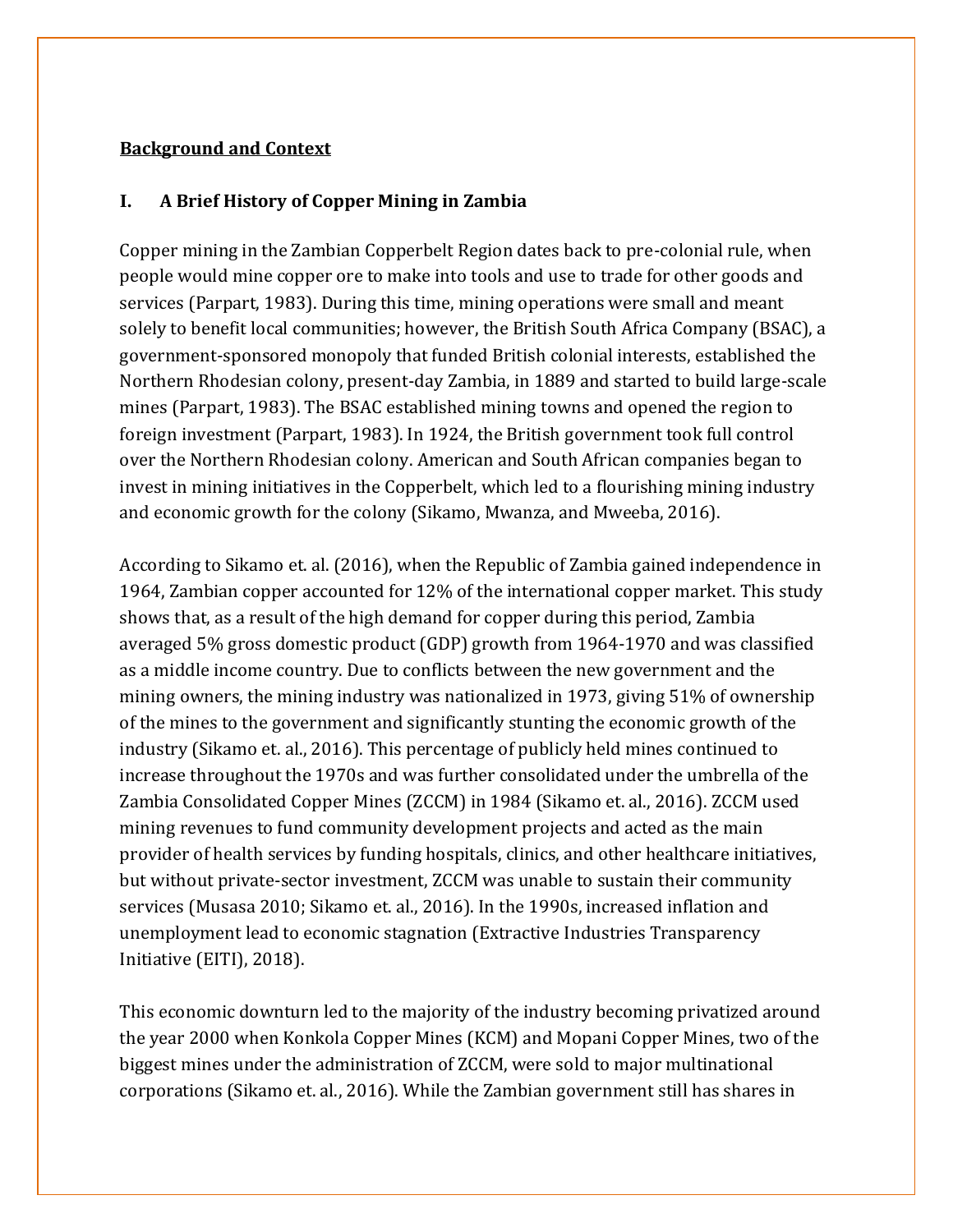#### <span id="page-6-0"></span>**Background and Context**

#### **I. A Brief History of Copper Mining in Zambia**

Copper mining in the Zambian Copperbelt Region dates back to pre-colonial rule, when people would mine copper ore to make into tools and use to trade for other goods and services (Parpart, 1983). During this time, mining operations were small and meant solely to benefit local communities; however, the British South Africa Company (BSAC), a government-sponsored monopoly that funded British colonial interests, established the Northern Rhodesian colony, present-day Zambia, in 1889 and started to build large-scale mines (Parpart, 1983). The BSAC established mining towns and opened the region to foreign investment (Parpart, 1983). In 1924, the British government took full control over the Northern Rhodesian colony. American and South African companies began to invest in mining initiatives in the Copperbelt, which led to a flourishing mining industry and economic growth for the colony (Sikamo, Mwanza, and Mweeba, 2016).

According to Sikamo et. al. (2016), when the Republic of Zambia gained independence in 1964, Zambian copper accounted for 12% of the international copper market. This study shows that, as a result of the high demand for copper during this period, Zambia averaged 5% gross domestic product (GDP) growth from 1964-1970 and was classified as a middle income country. Due to conflicts between the new government and the mining owners, the mining industry was nationalized in 1973, giving 51% of ownership of the mines to the government and significantly stunting the economic growth of the industry (Sikamo et. al., 2016). This percentage of publicly held mines continued to increase throughout the 1970s and was further consolidated under the umbrella of the Zambia Consolidated Copper Mines (ZCCM) in 1984 (Sikamo et. al., 2016). ZCCM used mining revenues to fund community development projects and acted as the main provider of health services by funding hospitals, clinics, and other healthcare initiatives, but without private-sector investment, ZCCM was unable to sustain their community services (Musasa 2010; Sikamo et. al., 2016). In the 1990s, increased inflation and unemployment lead to economic stagnation (Extractive Industries Transparency Initiative (EITI), 2018).

This economic downturn led to the majority of the industry becoming privatized around the year 2000 when Konkola Copper Mines (KCM) and Mopani Copper Mines, two of the biggest mines under the administration of ZCCM, were sold to major multinational corporations (Sikamo et. al., 2016). While the Zambian government still has shares in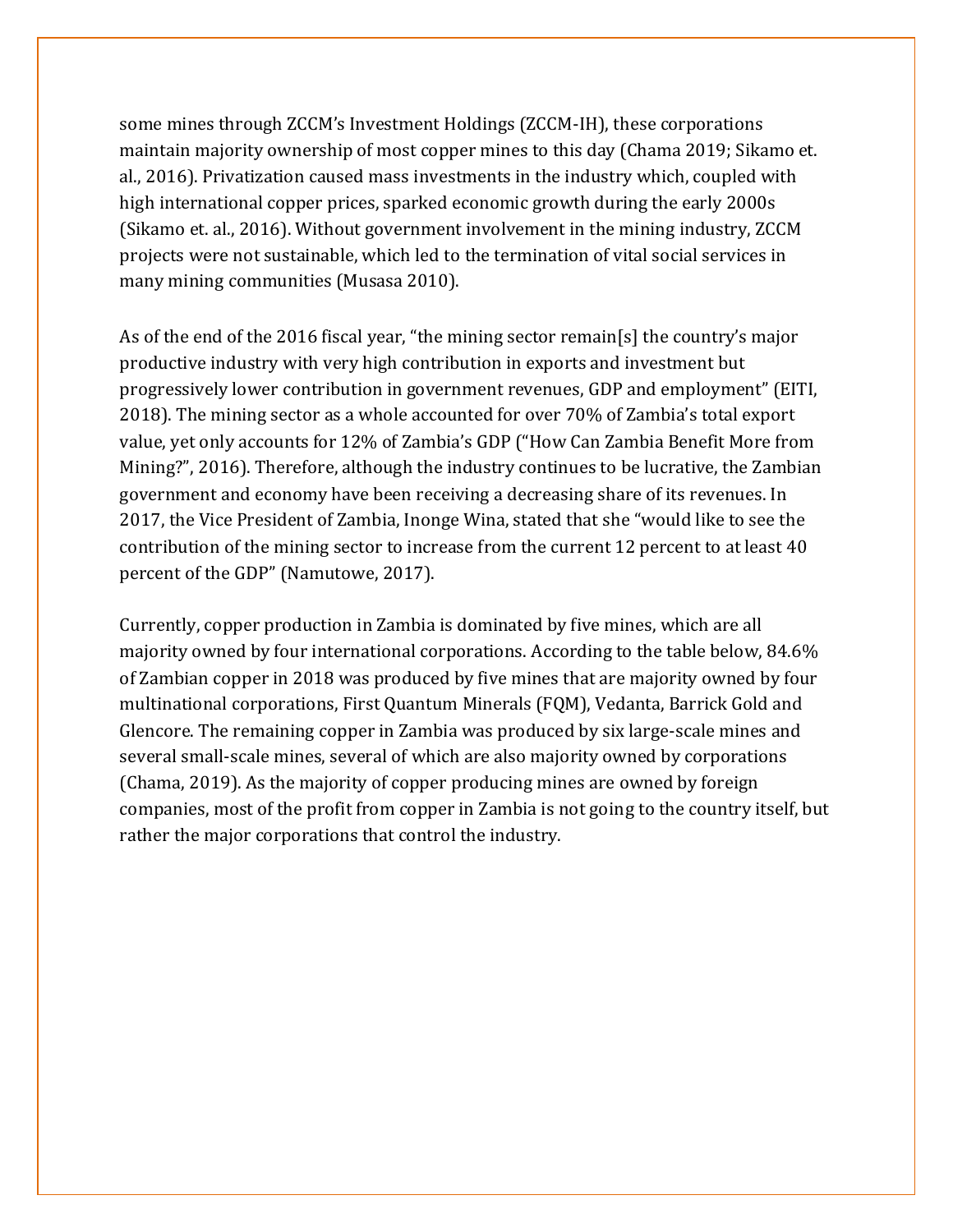some mines through ZCCM's Investment Holdings (ZCCM-IH), these corporations maintain majority ownership of most copper mines to this day (Chama 2019; Sikamo et. al., 2016). Privatization caused mass investments in the industry which, coupled with high international copper prices, sparked economic growth during the early 2000s (Sikamo et. al., 2016). Without government involvement in the mining industry, ZCCM projects were not sustainable, which led to the termination of vital social services in many mining communities (Musasa 2010).

As of the end of the 2016 fiscal year, "the mining sector remain[s] the country's major productive industry with very high contribution in exports and investment but progressively lower contribution in government revenues, GDP and employment" (EITI, 2018). The mining sector as a whole accounted for over 70% of Zambia's total export value, yet only accounts for 12% of Zambia's GDP ("How Can Zambia Benefit More from Mining?", 2016). Therefore, although the industry continues to be lucrative, the Zambian government and economy have been receiving a decreasing share of its revenues. In 2017, the Vice President of Zambia, Inonge Wina, stated that she "would like to see the contribution of the mining sector to increase from the current 12 percent to at least 40 percent of the GDP" (Namutowe, 2017).

Currently, copper production in Zambia is dominated by five mines, which are all majority owned by four international corporations. According to the table below, 84.6% of Zambian copper in 2018 was produced by five mines that are majority owned by four multinational corporations, First Quantum Minerals (FQM), Vedanta, Barrick Gold and Glencore. The remaining copper in Zambia was produced by six large-scale mines and several small-scale mines, several of which are also majority owned by corporations (Chama, 2019). As the majority of copper producing mines are owned by foreign companies, most of the profit from copper in Zambia is not going to the country itself, but rather the major corporations that control the industry.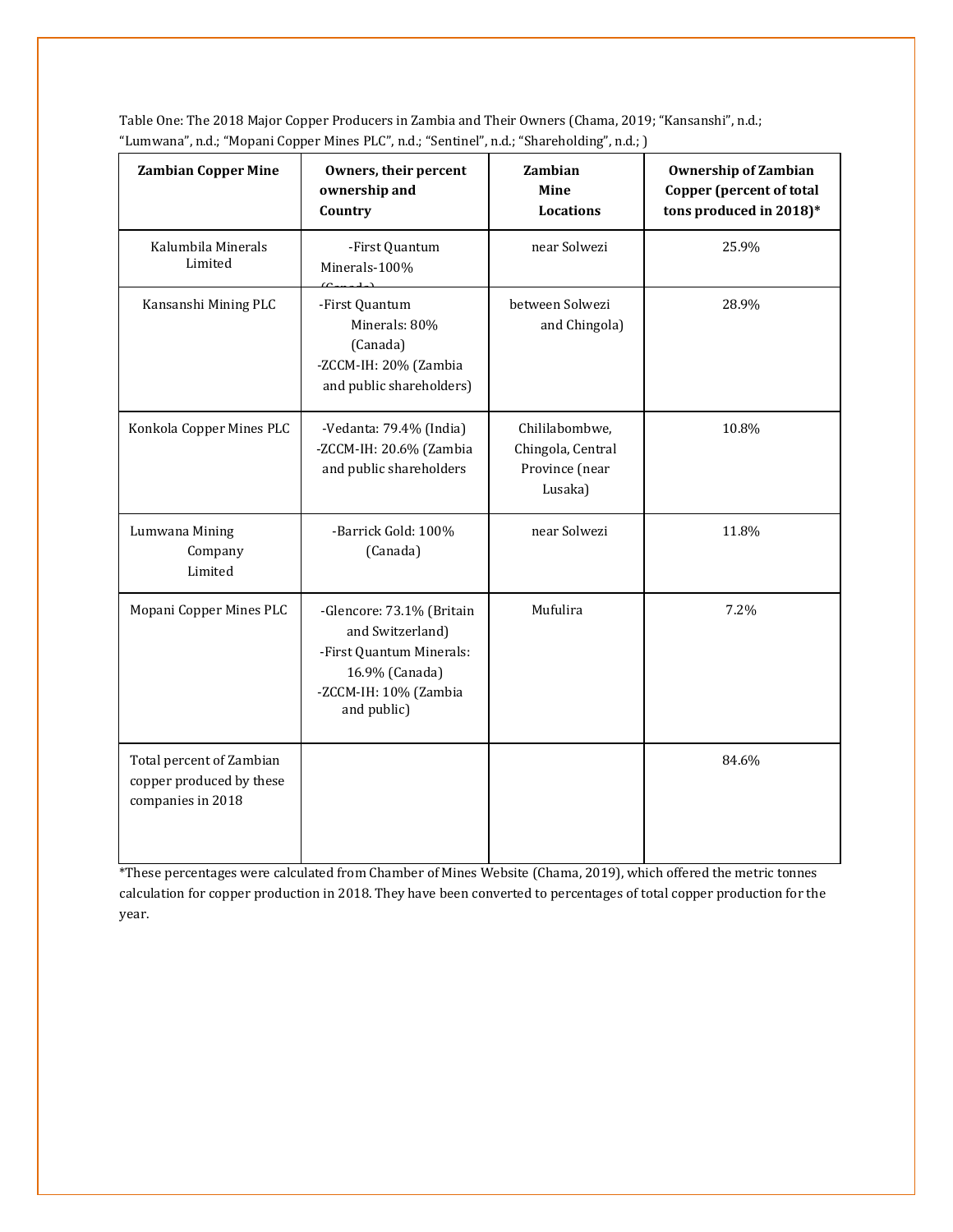| <b>Zambian Copper Mine</b>                                                | Owners, their percent<br>ownership and<br>Country                                                                                   | Zambian<br>Mine<br><b>Locations</b>                              | <b>Ownership of Zambian</b><br><b>Copper (percent of total</b><br>tons produced in 2018)* |  |  |
|---------------------------------------------------------------------------|-------------------------------------------------------------------------------------------------------------------------------------|------------------------------------------------------------------|-------------------------------------------------------------------------------------------|--|--|
| Kalumbila Minerals<br>Limited                                             | -First Quantum<br>Minerals-100%                                                                                                     | near Solwezi                                                     | 25.9%                                                                                     |  |  |
| Kansanshi Mining PLC                                                      | -First Quantum<br>Minerals: 80%<br>(Canada)<br>-ZCCM-IH: 20% (Zambia<br>and public shareholders)                                    | between Solwezi<br>and Chingola)                                 | 28.9%                                                                                     |  |  |
| Konkola Copper Mines PLC                                                  | -Vedanta: 79.4% (India)<br>-ZCCM-IH: 20.6% (Zambia<br>and public shareholders                                                       | Chililabombwe,<br>Chingola, Central<br>Province (near<br>Lusaka) | 10.8%                                                                                     |  |  |
| Lumwana Mining<br>Company<br>Limited                                      | -Barrick Gold: 100%<br>(Canada)                                                                                                     | near Solwezi                                                     | 11.8%                                                                                     |  |  |
| Mopani Copper Mines PLC                                                   | -Glencore: 73.1% (Britain<br>and Switzerland)<br>-First Quantum Minerals:<br>16.9% (Canada)<br>-ZCCM-IH: 10% (Zambia<br>and public) | Mufulira                                                         | 7.2%                                                                                      |  |  |
| Total percent of Zambian<br>copper produced by these<br>companies in 2018 |                                                                                                                                     |                                                                  | 84.6%                                                                                     |  |  |

Table One: The 2018 Major Copper Producers in Zambia and Their Owners (Chama, 2019; "Kansanshi", n.d.; "Lumwana", n.d.; "Mopani Copper Mines PLC", n.d.; "Sentinel", n.d.; "Shareholding", n.d.; )

\*These percentages were calculated from Chamber of Mines Website (Chama, 2019), which offered the metric tonnes calculation for copper production in 2018. They have been converted to percentages of total copper production for the year.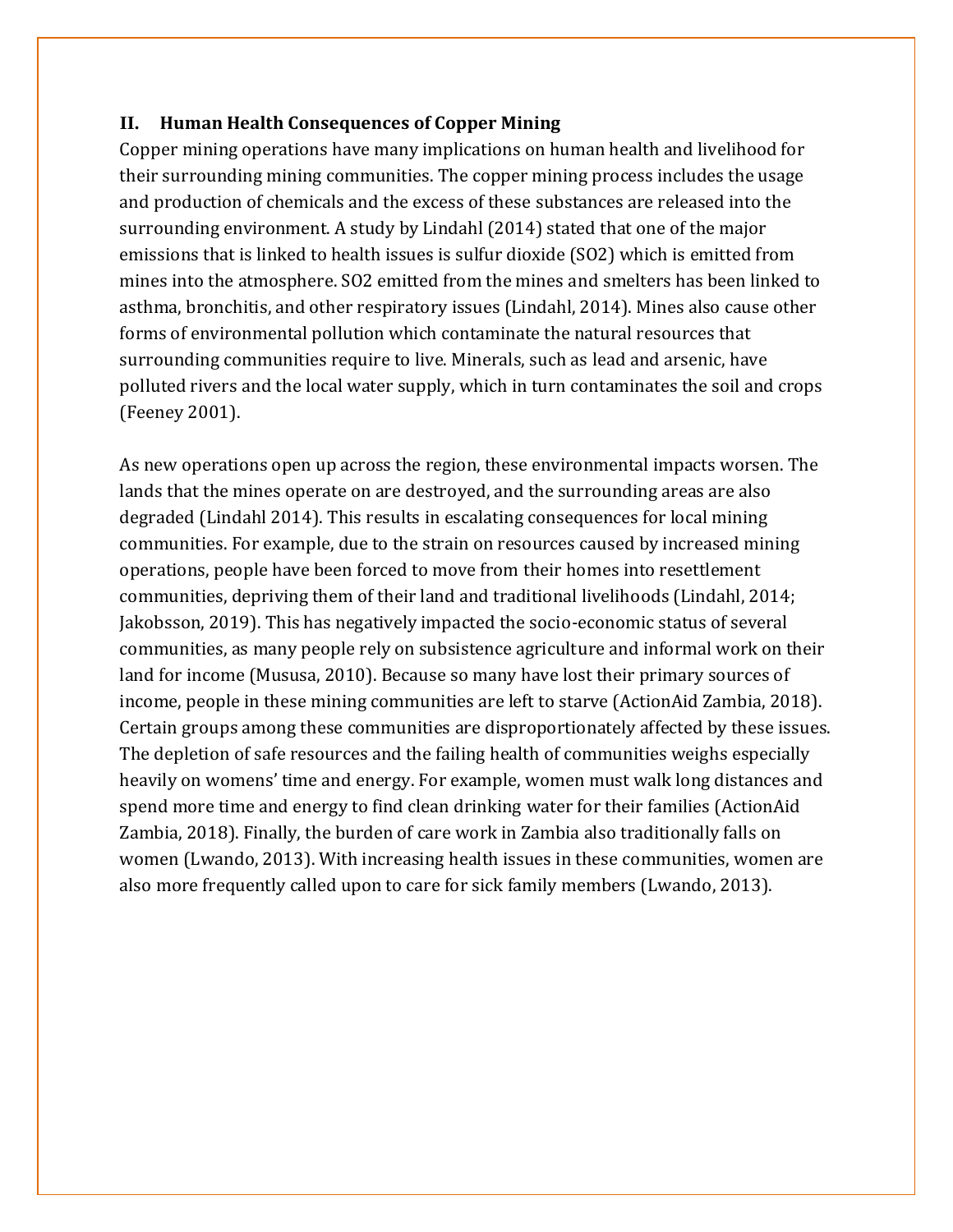#### **II. Human Health Consequences of Copper Mining**

Copper mining operations have many implications on human health and livelihood for their surrounding mining communities. The copper mining process includes the usage and production of chemicals and the excess of these substances are released into the surrounding environment. A study by Lindahl (2014) stated that one of the major emissions that is linked to health issues is sulfur dioxide (SO2) which is emitted from mines into the atmosphere. SO2 emitted from the mines and smelters has been linked to asthma, bronchitis, and other respiratory issues (Lindahl, 2014). Mines also cause other forms of environmental pollution which contaminate the natural resources that surrounding communities require to live. Minerals, such as lead and arsenic, have polluted rivers and the local water supply, which in turn contaminates the soil and crops (Feeney 2001).

As new operations open up across the region, these environmental impacts worsen. The lands that the mines operate on are destroyed, and the surrounding areas are also degraded (Lindahl 2014). This results in escalating consequences for local mining communities. For example, due to the strain on resources caused by increased mining operations, people have been forced to move from their homes into resettlement communities, depriving them of their land and traditional livelihoods (Lindahl, 2014; Jakobsson, 2019). This has negatively impacted the socio-economic status of several communities, as many people rely on subsistence agriculture and informal work on their land for income (Mususa, 2010). Because so many have lost their primary sources of income, people in these mining communities are left to starve (ActionAid Zambia, 2018). Certain groups among these communities are disproportionately affected by these issues. The depletion of safe resources and the failing health of communities weighs especially heavily on womens' time and energy. For example, women must walk long distances and spend more time and energy to find clean drinking water for their families (ActionAid Zambia, 2018). Finally, the burden of care work in Zambia also traditionally falls on women (Lwando, 2013). With increasing health issues in these communities, women are also more frequently called upon to care for sick family members (Lwando, 2013).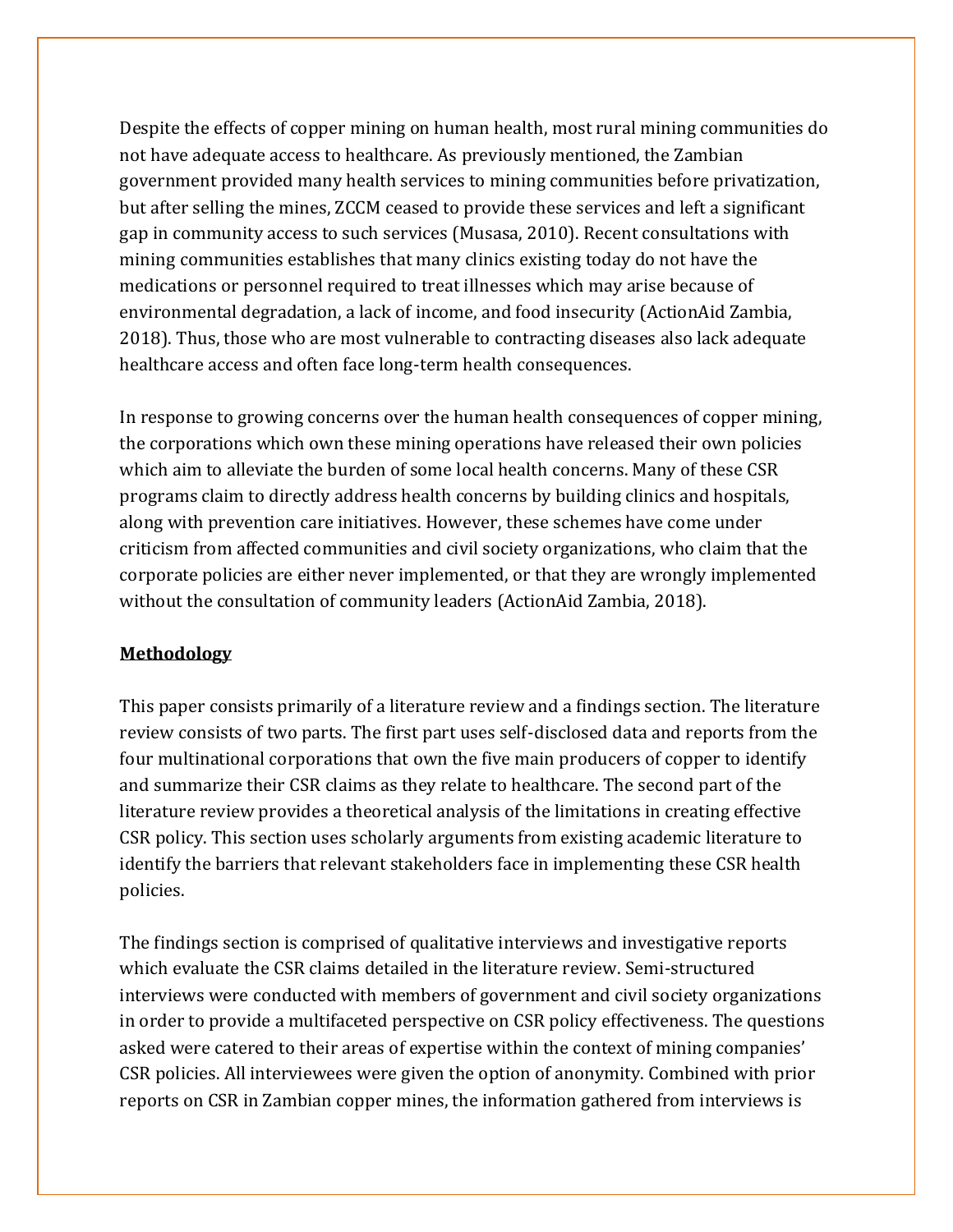Despite the effects of copper mining on human health, most rural mining communities do not have adequate access to healthcare. As previously mentioned, the Zambian government provided many health services to mining communities before privatization, but after selling the mines, ZCCM ceased to provide these services and left a significant gap in community access to such services (Musasa, 2010). Recent consultations with mining communities establishes that many clinics existing today do not have the medications or personnel required to treat illnesses which may arise because of environmental degradation, a lack of income, and food insecurity (ActionAid Zambia, 2018). Thus, those who are most vulnerable to contracting diseases also lack adequate healthcare access and often face long-term health consequences.

In response to growing concerns over the human health consequences of copper mining, the corporations which own these mining operations have released their own policies which aim to alleviate the burden of some local health concerns. Many of these CSR programs claim to directly address health concerns by building clinics and hospitals, along with prevention care initiatives. However, these schemes have come under criticism from affected communities and civil society organizations, who claim that the corporate policies are either never implemented, or that they are wrongly implemented without the consultation of community leaders (ActionAid Zambia, 2018).

#### **Methodology**

This paper consists primarily of a literature review and a findings section. The literature review consists of two parts. The first part uses self-disclosed data and reports from the four multinational corporations that own the five main producers of copper to identify and summarize their CSR claims as they relate to healthcare. The second part of the literature review provides a theoretical analysis of the limitations in creating effective CSR policy. This section uses scholarly arguments from existing academic literature to identify the barriers that relevant stakeholders face in implementing these CSR health policies.

The findings section is comprised of qualitative interviews and investigative reports which evaluate the CSR claims detailed in the literature review. Semi-structured interviews were conducted with members of government and civil society organizations in order to provide a multifaceted perspective on CSR policy effectiveness. The questions asked were catered to their areas of expertise within the context of mining companies' CSR policies. All interviewees were given the option of anonymity. Combined with prior reports on CSR in Zambian copper mines, the information gathered from interviews is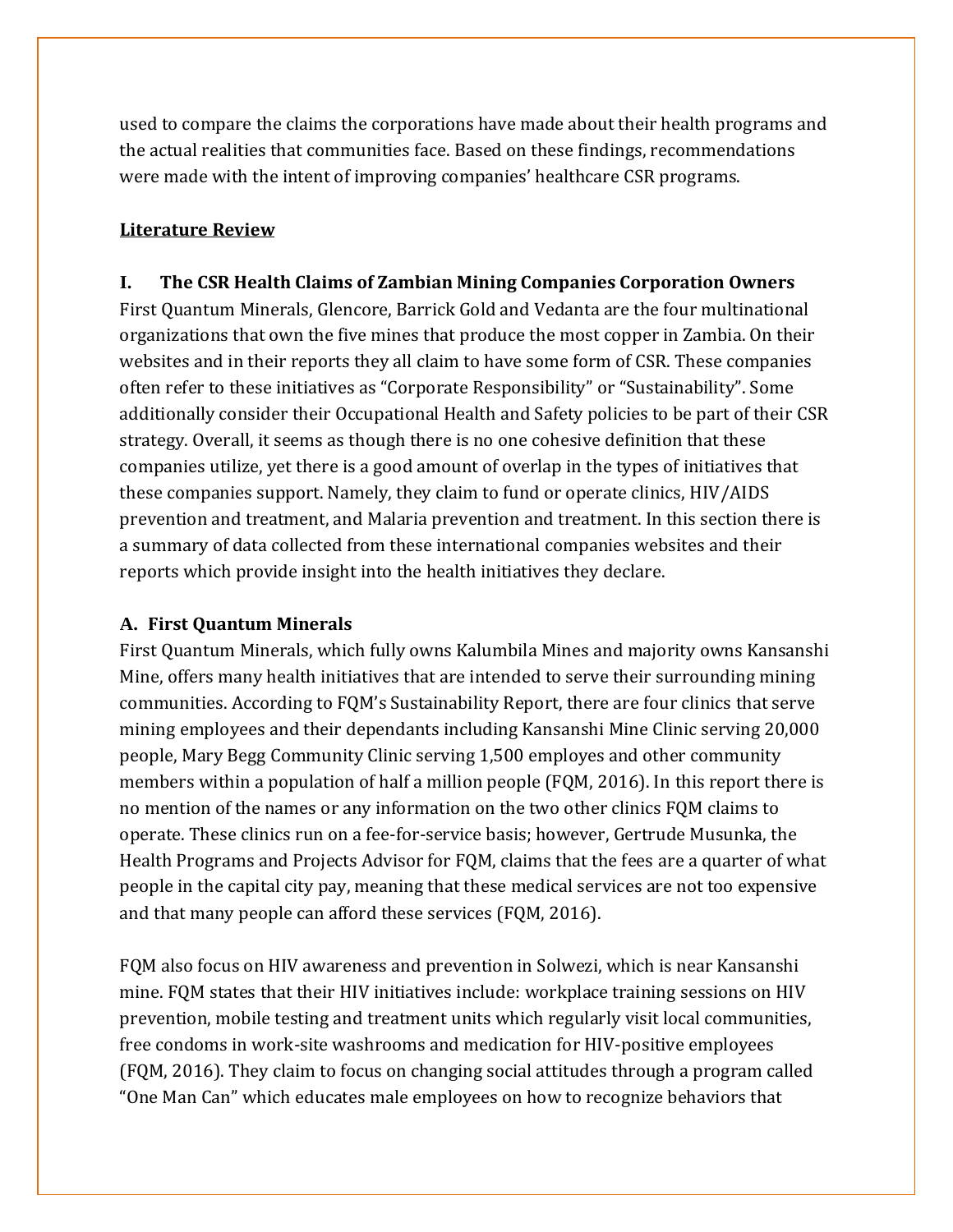used to compare the claims the corporations have made about their health programs and the actual realities that communities face. Based on these findings, recommendations were made with the intent of improving companies' healthcare CSR programs.

# **Literature Review**

#### **I. The CSR Health Claims of Zambian Mining Companies Corporation Owners**

First Quantum Minerals, Glencore, Barrick Gold and Vedanta are the four multinational organizations that own the five mines that produce the most copper in Zambia. On their websites and in their reports they all claim to have some form of CSR. These companies often refer to these initiatives as "Corporate Responsibility" or "Sustainability". Some additionally consider their Occupational Health and Safety policies to be part of their CSR strategy. Overall, it seems as though there is no one cohesive definition that these companies utilize, yet there is a good amount of overlap in the types of initiatives that these companies support. Namely, they claim to fund or operate clinics, HIV/AIDS prevention and treatment, and Malaria prevention and treatment. In this section there is a summary of data collected from these international companies websites and their reports which provide insight into the health initiatives they declare.

#### **A. First Quantum Minerals**

First Quantum Minerals, which fully owns Kalumbila Mines and majority owns Kansanshi Mine, offers many health initiatives that are intended to serve their surrounding mining communities. According to FQM's Sustainability Report, there are four clinics that serve mining employees and their dependants including Kansanshi Mine Clinic serving 20,000 people, Mary Begg Community Clinic serving 1,500 employes and other community members within a population of half a million people (FQM, 2016). In this report there is no mention of the names or any information on the two other clinics FQM claims to operate. These clinics run on a fee-for-service basis; however, Gertrude Musunka, the Health Programs and Projects Advisor for FQM, claims that the fees are a quarter of what people in the capital city pay, meaning that these medical services are not too expensive and that many people can afford these services (FQM, 2016).

FQM also focus on HIV awareness and prevention in Solwezi, which is near Kansanshi mine. FQM states that their HIV initiatives include: workplace training sessions on HIV prevention, mobile testing and treatment units which regularly visit local communities, free condoms in work-site washrooms and medication for HIV-positive employees (FQM, 2016). They claim to focus on changing social attitudes through a program called "One Man Can" which educates male employees on how to recognize behaviors that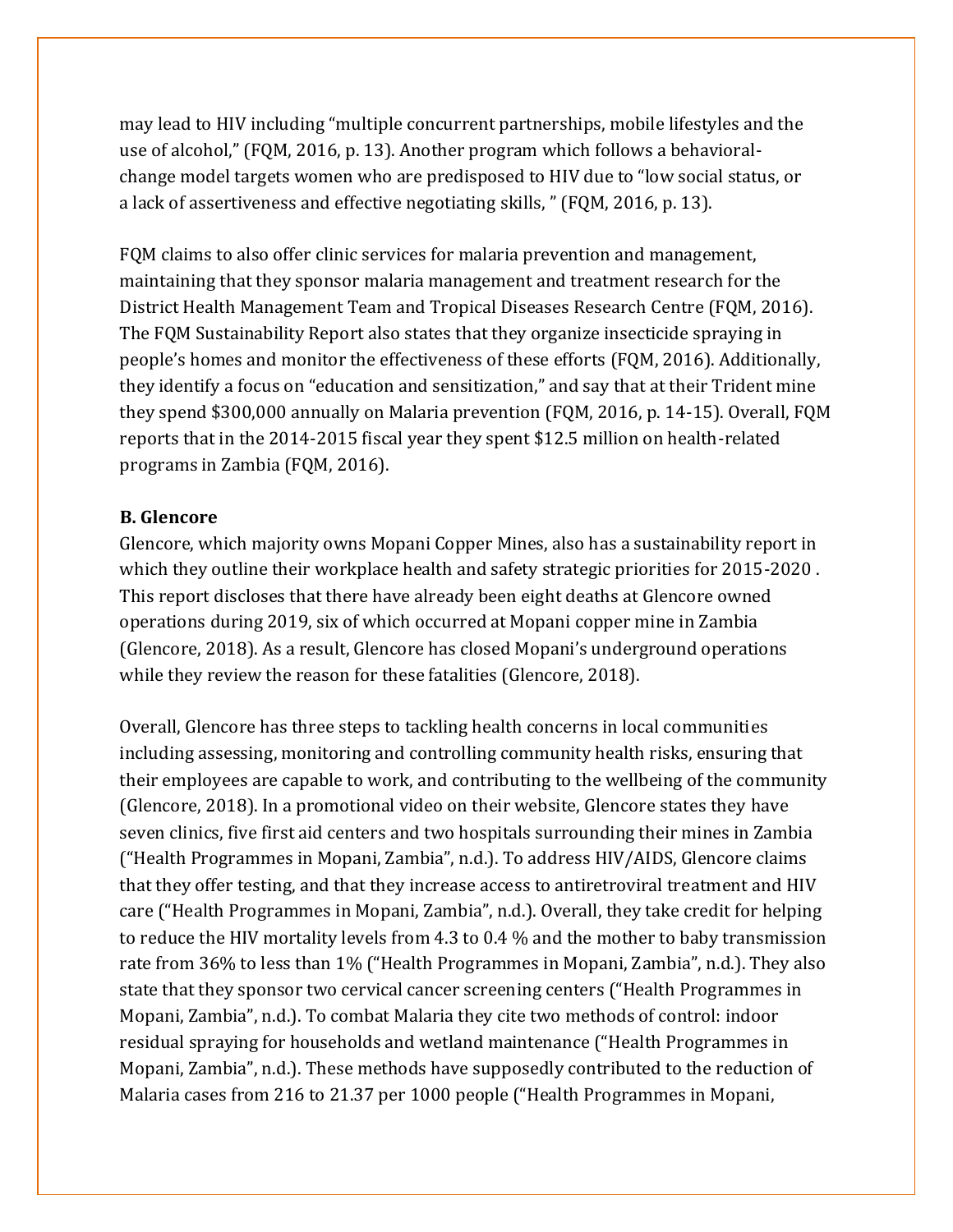may lead to HIV including "multiple concurrent partnerships, mobile lifestyles and the use of alcohol," (FQM, 2016, p. 13). Another program which follows a behavioralchange model targets women who are predisposed to HIV due to "low social status, or a lack of assertiveness and effective negotiating skills, " (FQM, 2016, p. 13).

FQM claims to also offer clinic services for malaria prevention and management, maintaining that they sponsor malaria management and treatment research for the District Health Management Team and Tropical Diseases Research Centre (FQM, 2016). The FQM Sustainability Report also states that they organize insecticide spraying in people's homes and monitor the effectiveness of these efforts (FQM, 2016). Additionally, they identify a focus on "education and sensitization," and say that at their Trident mine they spend \$300,000 annually on Malaria prevention (FQM, 2016, p. 14-15). Overall, FQM reports that in the 2014-2015 fiscal year they spent \$12.5 million on health-related programs in Zambia (FQM, 2016).

#### **B. Glencore**

Glencore, which majority owns Mopani Copper Mines, also has a sustainability report in which they outline their workplace health and safety strategic priorities for 2015-2020 . This report discloses that there have already been eight deaths at Glencore owned operations during 2019, six of which occurred at Mopani copper mine in Zambia (Glencore, 2018). As a result, Glencore has closed Mopani's underground operations while they review the reason for these fatalities (Glencore, 2018).

Overall, Glencore has three steps to tackling health concerns in local communities including assessing, monitoring and controlling community health risks, ensuring that their employees are capable to work, and contributing to the wellbeing of the community (Glencore, 2018). In a promotional video on their website, Glencore states they have seven clinics, five first aid centers and two hospitals surrounding their mines in Zambia ("Health Programmes in Mopani, Zambia", n.d.). To address HIV/AIDS, Glencore claims that they offer testing, and that they increase access to antiretroviral treatment and HIV care ("Health Programmes in Mopani, Zambia", n.d.). Overall, they take credit for helping to reduce the HIV mortality levels from 4.3 to 0.4 % and the mother to baby transmission rate from 36% to less than 1% ("Health Programmes in Mopani, Zambia", n.d.). They also state that they sponsor two cervical cancer screening centers ("Health Programmes in Mopani, Zambia", n.d.). To combat Malaria they cite two methods of control: indoor residual spraying for households and wetland maintenance ("Health Programmes in Mopani, Zambia", n.d.). These methods have supposedly contributed to the reduction of Malaria cases from 216 to 21.37 per 1000 people ("Health Programmes in Mopani,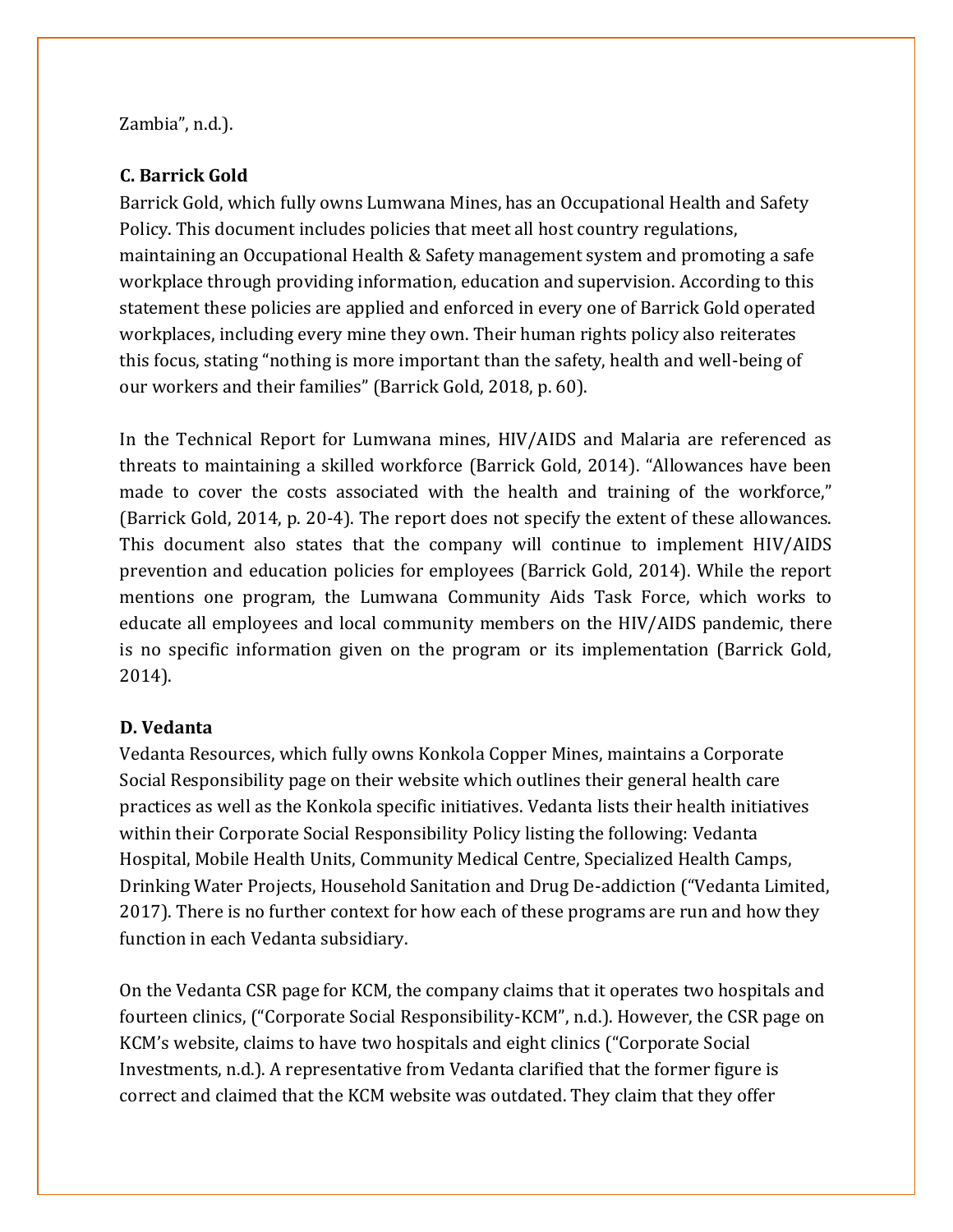Zambia", n.d.).

## **C. Barrick Gold**

Barrick Gold, which fully owns Lumwana Mines, has an Occupational Health and Safety Policy. This document includes policies that meet all host country regulations, maintaining an Occupational Health & Safety management system and promoting a safe workplace through providing information, education and supervision. According to this statement these policies are applied and enforced in every one of Barrick Gold operated workplaces, including every mine they own. Their human rights policy also reiterates this focus, stating "nothing is more important than the safety, health and well-being of our workers and their families" (Barrick Gold, 2018, p. 60).

In the Technical Report for Lumwana mines, HIV/AIDS and Malaria are referenced as threats to maintaining a skilled workforce (Barrick Gold, 2014). "Allowances have been made to cover the costs associated with the health and training of the workforce," (Barrick Gold, 2014, p. 20-4). The report does not specify the extent of these allowances. This document also states that the company will continue to implement HIV/AIDS prevention and education policies for employees (Barrick Gold, 2014). While the report mentions one program, the Lumwana Community Aids Task Force, which works to educate all employees and local community members on the HIV/AIDS pandemic, there is no specific information given on the program or its implementation (Barrick Gold, 2014).

# **D. Vedanta**

Vedanta Resources, which fully owns Konkola Copper Mines, maintains a Corporate Social Responsibility page on their website which outlines their general health care practices as well as the Konkola specific initiatives. Vedanta lists their health initiatives within their Corporate Social Responsibility Policy listing the following: Vedanta Hospital, Mobile Health Units, Community Medical Centre, Specialized Health Camps, Drinking Water Projects, Household Sanitation and Drug De-addiction ("Vedanta Limited, 2017). There is no further context for how each of these programs are run and how they function in each Vedanta subsidiary.

On the Vedanta CSR page for KCM, the company claims that it operates two hospitals and fourteen clinics, ("Corporate Social Responsibility-KCM", n.d.). However, the CSR page on KCM's website, claims to have two hospitals and eight clinics ("Corporate Social Investments, n.d.). A representative from Vedanta clarified that the former figure is correct and claimed that the KCM website was outdated. They claim that they offer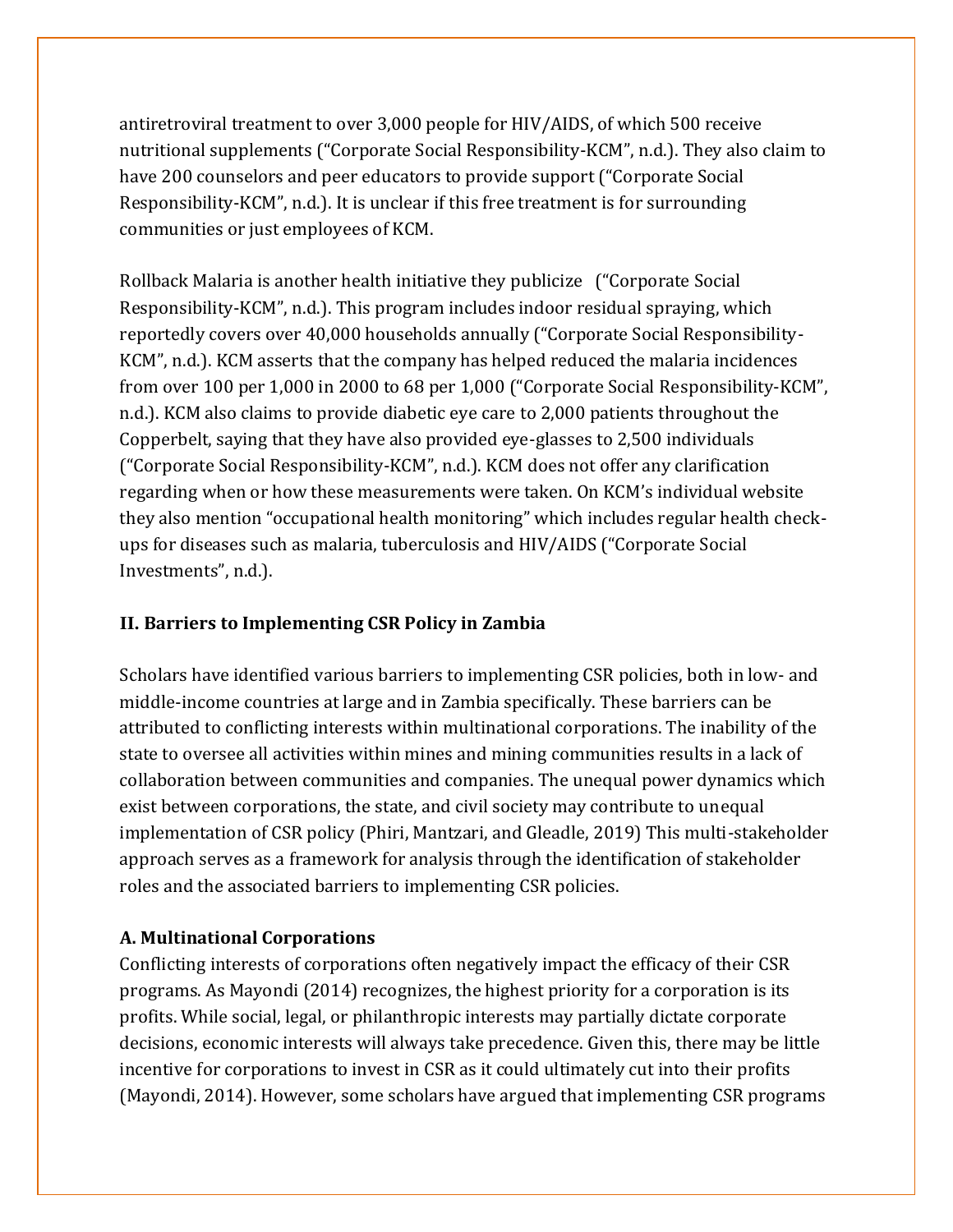antiretroviral treatment to over 3,000 people for HIV/AIDS, of which 500 receive nutritional supplements ("Corporate Social Responsibility-KCM", n.d.). They also claim to have 200 counselors and peer educators to provide support ("Corporate Social Responsibility-KCM", n.d.). It is unclear if this free treatment is for surrounding communities or just employees of KCM.

Rollback Malaria is another health initiative they publicize ("Corporate Social Responsibility-KCM", n.d.). This program includes indoor residual spraying, which reportedly covers over 40,000 households annually ("Corporate Social Responsibility-KCM", n.d.). KCM asserts that the company has helped reduced the malaria incidences from over 100 per 1,000 in 2000 to 68 per 1,000 ("Corporate Social Responsibility-KCM", n.d.). KCM also claims to provide diabetic eye care to 2,000 patients throughout the Copperbelt, saying that they have also provided eye-glasses to 2,500 individuals ("Corporate Social Responsibility-KCM", n.d.). KCM does not offer any clarification regarding when or how these measurements were taken. On KCM's individual website they also mention "occupational health monitoring" which includes regular health checkups for diseases such as malaria, tuberculosis and HIV/AIDS ("Corporate Social Investments", n.d.).

# **II. Barriers to Implementing CSR Policy in Zambia**

Scholars have identified various barriers to implementing CSR policies, both in low- and middle-income countries at large and in Zambia specifically. These barriers can be attributed to conflicting interests within multinational corporations. The inability of the state to oversee all activities within mines and mining communities results in a lack of collaboration between communities and companies. The unequal power dynamics which exist between corporations, the state, and civil society may contribute to unequal implementation of CSR policy (Phiri, Mantzari, and Gleadle, 2019) This multi-stakeholder approach serves as a framework for analysis through the identification of stakeholder roles and the associated barriers to implementing CSR policies.

# **A. Multinational Corporations**

Conflicting interests of corporations often negatively impact the efficacy of their CSR programs. As Mayondi (2014) recognizes, the highest priority for a corporation is its profits. While social, legal, or philanthropic interests may partially dictate corporate decisions, economic interests will always take precedence. Given this, there may be little incentive for corporations to invest in CSR as it could ultimately cut into their profits (Mayondi, 2014). However, some scholars have argued that implementing CSR programs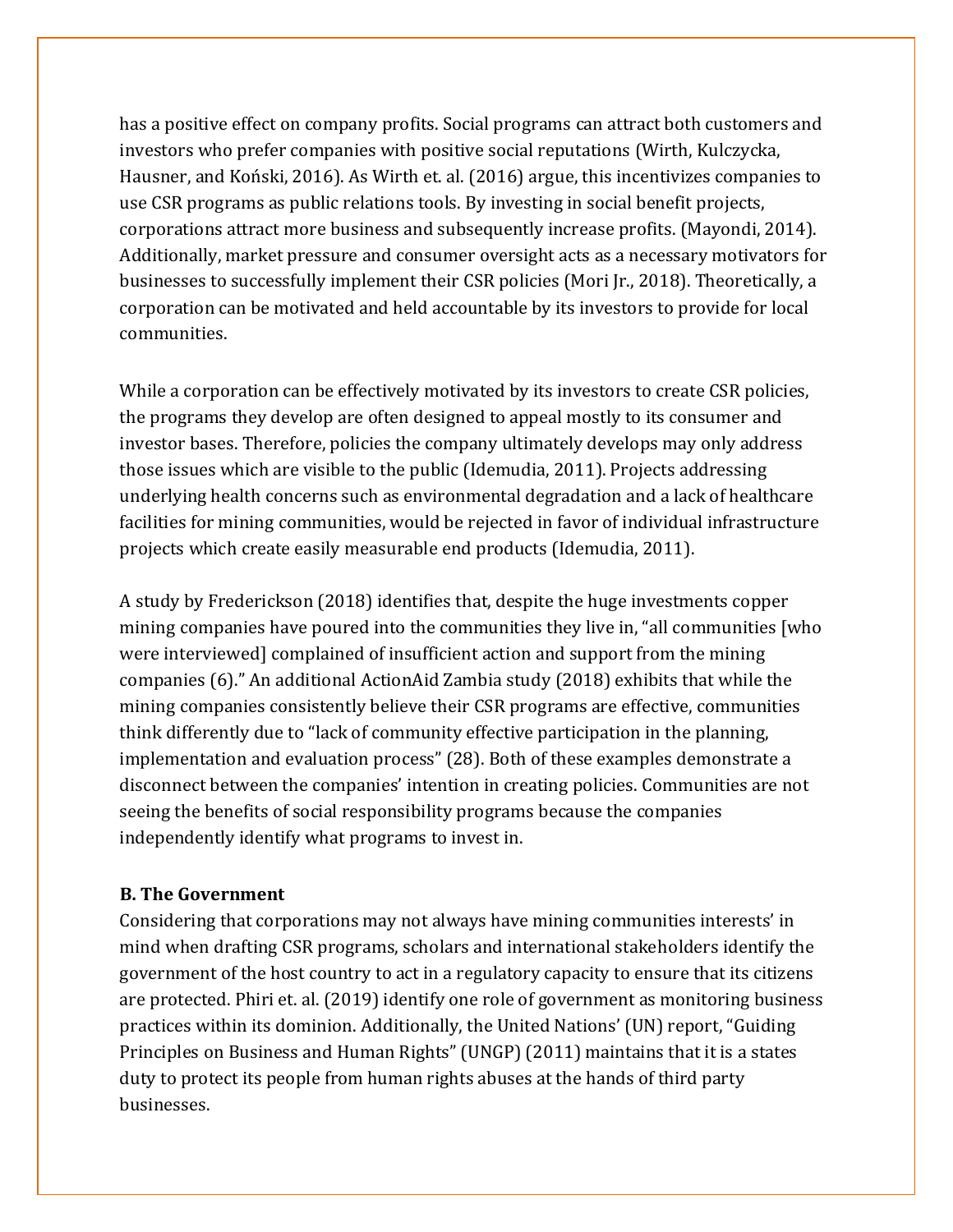has a positive effect on company profits. Social programs can attract both customers and investors who prefer companies with positive social reputations (Wirth, Kulczycka, Hausner, and Koński, 2016). As Wirth et. al. (2016) argue, this incentivizes companies to use CSR programs as public relations tools. By investing in social benefit projects, corporations attract more business and subsequently increase profits. (Mayondi, 2014). Additionally, market pressure and consumer oversight acts as a necessary motivators for businesses to successfully implement their CSR policies (Mori Jr., 2018). Theoretically, a corporation can be motivated and held accountable by its investors to provide for local communities.

While a corporation can be effectively motivated by its investors to create CSR policies, the programs they develop are often designed to appeal mostly to its consumer and investor bases. Therefore, policies the company ultimately develops may only address those issues which are visible to the public (Idemudia, 2011). Projects addressing underlying health concerns such as environmental degradation and a lack of healthcare facilities for mining communities, would be rejected in favor of individual infrastructure projects which create easily measurable end products (Idemudia, 2011).

A study by Frederickson (2018) identifies that, despite the huge investments copper mining companies have poured into the communities they live in, "all communities [who were interviewed] complained of insufficient action and support from the mining companies (6)." An additional ActionAid Zambia study (2018) exhibits that while the mining companies consistently believe their CSR programs are effective, communities think differently due to "lack of community effective participation in the planning, implementation and evaluation process" (28). Both of these examples demonstrate a disconnect between the companies' intention in creating policies. Communities are not seeing the benefits of social responsibility programs because the companies independently identify what programs to invest in.

#### **B. The Government**

Considering that corporations may not always have mining communities interests' in mind when drafting CSR programs, scholars and international stakeholders identify the government of the host country to act in a regulatory capacity to ensure that its citizens are protected. Phiri et. al. (2019) identify one role of government as monitoring business practices within its dominion. Additionally, the United Nations' (UN) report, "Guiding Principles on Business and Human Rights" (UNGP) (2011) maintains that it is a states duty to protect its people from human rights abuses at the hands of third party businesses.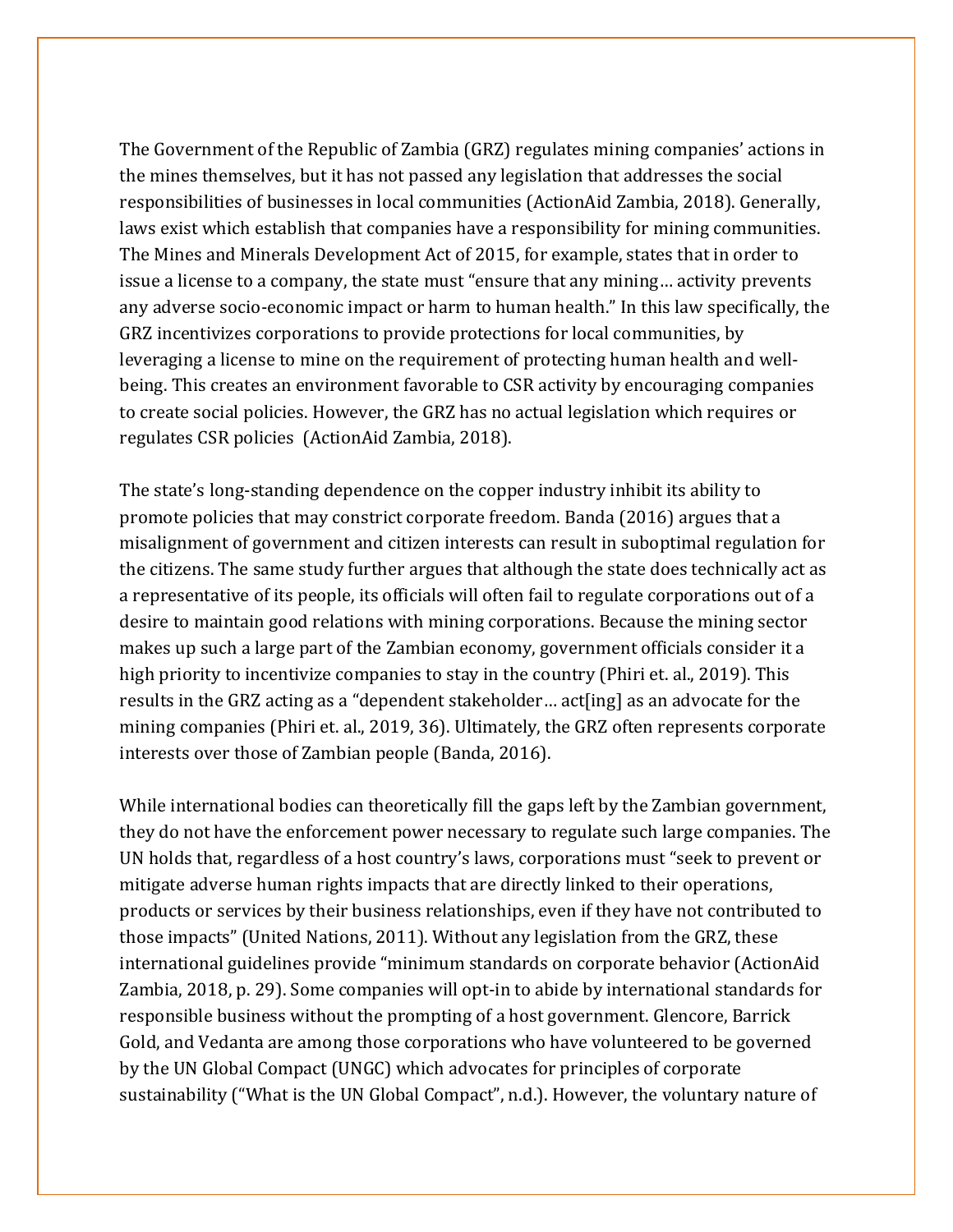The Government of the Republic of Zambia (GRZ) regulates mining companies' actions in the mines themselves, but it has not passed any legislation that addresses the social responsibilities of businesses in local communities (ActionAid Zambia, 2018). Generally, laws exist which establish that companies have a responsibility for mining communities. The Mines and Minerals Development Act of 2015, for example, states that in order to issue a license to a company, the state must "ensure that any mining… activity prevents any adverse socio-economic impact or harm to human health." In this law specifically, the GRZ incentivizes corporations to provide protections for local communities, by leveraging a license to mine on the requirement of protecting human health and wellbeing. This creates an environment favorable to CSR activity by encouraging companies to create social policies. However, the GRZ has no actual legislation which requires or regulates CSR policies (ActionAid Zambia, 2018).

The state's long-standing dependence on the copper industry inhibit its ability to promote policies that may constrict corporate freedom. Banda (2016) argues that a misalignment of government and citizen interests can result in suboptimal regulation for the citizens. The same study further argues that although the state does technically act as a representative of its people, its officials will often fail to regulate corporations out of a desire to maintain good relations with mining corporations. Because the mining sector makes up such a large part of the Zambian economy, government officials consider it a high priority to incentivize companies to stay in the country (Phiri et. al., 2019). This results in the GRZ acting as a "dependent stakeholder… act[ing] as an advocate for the mining companies (Phiri et. al., 2019, 36). Ultimately, the GRZ often represents corporate interests over those of Zambian people (Banda, 2016).

While international bodies can theoretically fill the gaps left by the Zambian government, they do not have the enforcement power necessary to regulate such large companies. The UN holds that, regardless of a host country's laws, corporations must "seek to prevent or mitigate adverse human rights impacts that are directly linked to their operations, products or services by their business relationships, even if they have not contributed to those impacts" (United Nations, 2011). Without any legislation from the GRZ, these international guidelines provide "minimum standards on corporate behavior (ActionAid Zambia, 2018, p. 29). Some companies will opt-in to abide by international standards for responsible business without the prompting of a host government. Glencore, Barrick Gold, and Vedanta are among those corporations who have volunteered to be governed by the UN Global Compact (UNGC) which advocates for principles of corporate sustainability ("What is the UN Global Compact", n.d.). However, the voluntary nature of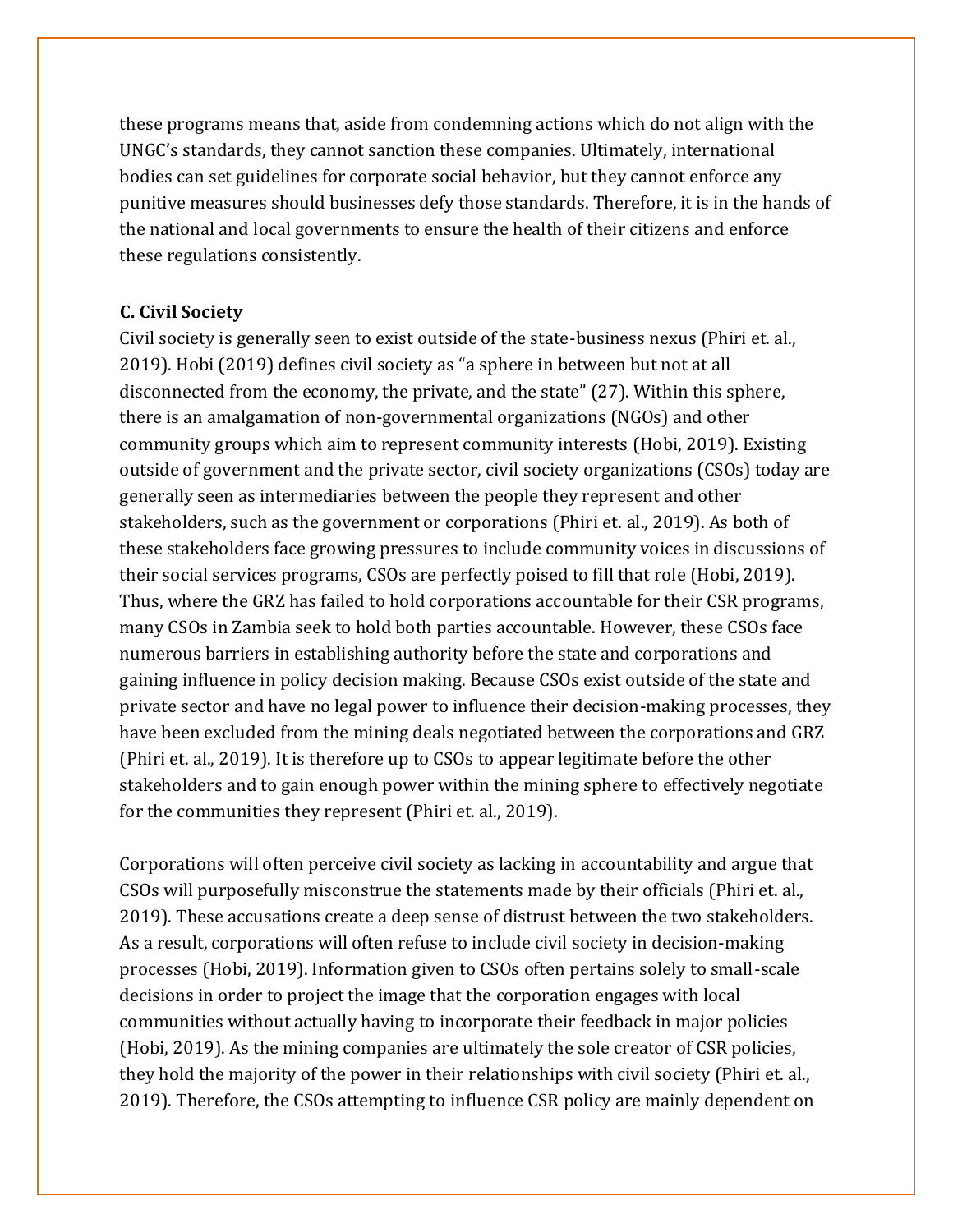these programs means that, aside from condemning actions which do not align with the UNGC's standards, they cannot sanction these companies. Ultimately, international bodies can set guidelines for corporate social behavior, but they cannot enforce any punitive measures should businesses defy those standards. Therefore, it is in the hands of the national and local governments to ensure the health of their citizens and enforce these regulations consistently.

## **C. Civil Society**

Civil society is generally seen to exist outside of the state-business nexus (Phiri et. al., 2019). Hobi (2019) defines civil society as "a sphere in between but not at all disconnected from the economy, the private, and the state" (27). Within this sphere, there is an amalgamation of non-governmental organizations (NGOs) and other community groups which aim to represent community interests (Hobi, 2019). Existing outside of government and the private sector, civil society organizations (CSOs) today are generally seen as intermediaries between the people they represent and other stakeholders, such as the government or corporations (Phiri et. al., 2019). As both of these stakeholders face growing pressures to include community voices in discussions of their social services programs, CSOs are perfectly poised to fill that role (Hobi, 2019). Thus, where the GRZ has failed to hold corporations accountable for their CSR programs, many CSOs in Zambia seek to hold both parties accountable. However, these CSOs face numerous barriers in establishing authority before the state and corporations and gaining influence in policy decision making. Because CSOs exist outside of the state and private sector and have no legal power to influence their decision-making processes, they have been excluded from the mining deals negotiated between the corporations and GRZ (Phiri et. al., 2019). It is therefore up to CSOs to appear legitimate before the other stakeholders and to gain enough power within the mining sphere to effectively negotiate for the communities they represent (Phiri et. al., 2019).

Corporations will often perceive civil society as lacking in accountability and argue that CSOs will purposefully misconstrue the statements made by their officials (Phiri et. al., 2019). These accusations create a deep sense of distrust between the two stakeholders. As a result, corporations will often refuse to include civil society in decision-making processes (Hobi, 2019). Information given to CSOs often pertains solely to small-scale decisions in order to project the image that the corporation engages with local communities without actually having to incorporate their feedback in major policies (Hobi, 2019). As the mining companies are ultimately the sole creator of CSR policies, they hold the majority of the power in their relationships with civil society (Phiri et. al., 2019). Therefore, the CSOs attempting to influence CSR policy are mainly dependent on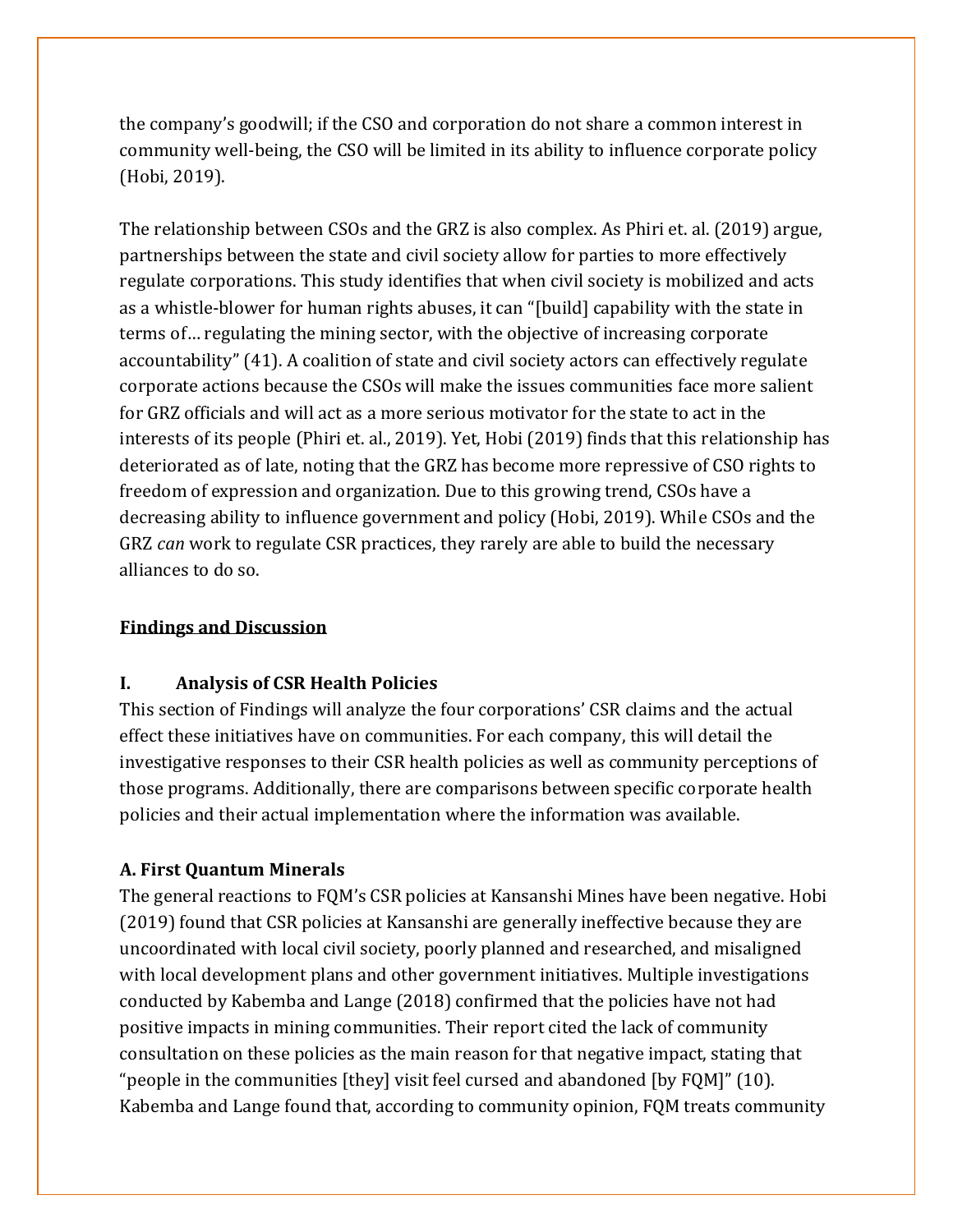the company's goodwill; if the CSO and corporation do not share a common interest in community well-being, the CSO will be limited in its ability to influence corporate policy (Hobi, 2019).

The relationship between CSOs and the GRZ is also complex. As Phiri et. al. (2019) argue, partnerships between the state and civil society allow for parties to more effectively regulate corporations. This study identifies that when civil society is mobilized and acts as a whistle-blower for human rights abuses, it can "[build] capability with the state in terms of… regulating the mining sector, with the objective of increasing corporate accountability" (41). A coalition of state and civil society actors can effectively regulate corporate actions because the CSOs will make the issues communities face more salient for GRZ officials and will act as a more serious motivator for the state to act in the interests of its people (Phiri et. al., 2019). Yet, Hobi (2019) finds that this relationship has deteriorated as of late, noting that the GRZ has become more repressive of CSO rights to freedom of expression and organization. Due to this growing trend, CSOs have a decreasing ability to influence government and policy (Hobi, 2019). While CSOs and the GRZ *can* work to regulate CSR practices, they rarely are able to build the necessary alliances to do so.

#### **Findings and Discussion**

# **I. Analysis of CSR Health Policies**

This section of Findings will analyze the four corporations' CSR claims and the actual effect these initiatives have on communities. For each company, this will detail the investigative responses to their CSR health policies as well as community perceptions of those programs. Additionally, there are comparisons between specific corporate health policies and their actual implementation where the information was available.

# **A. First Quantum Minerals**

The general reactions to FQM's CSR policies at Kansanshi Mines have been negative. Hobi (2019) found that CSR policies at Kansanshi are generally ineffective because they are uncoordinated with local civil society, poorly planned and researched, and misaligned with local development plans and other government initiatives. Multiple investigations conducted by Kabemba and Lange (2018) confirmed that the policies have not had positive impacts in mining communities. Their report cited the lack of community consultation on these policies as the main reason for that negative impact, stating that "people in the communities [they] visit feel cursed and abandoned [by FQM]" (10). Kabemba and Lange found that, according to community opinion, FQM treats community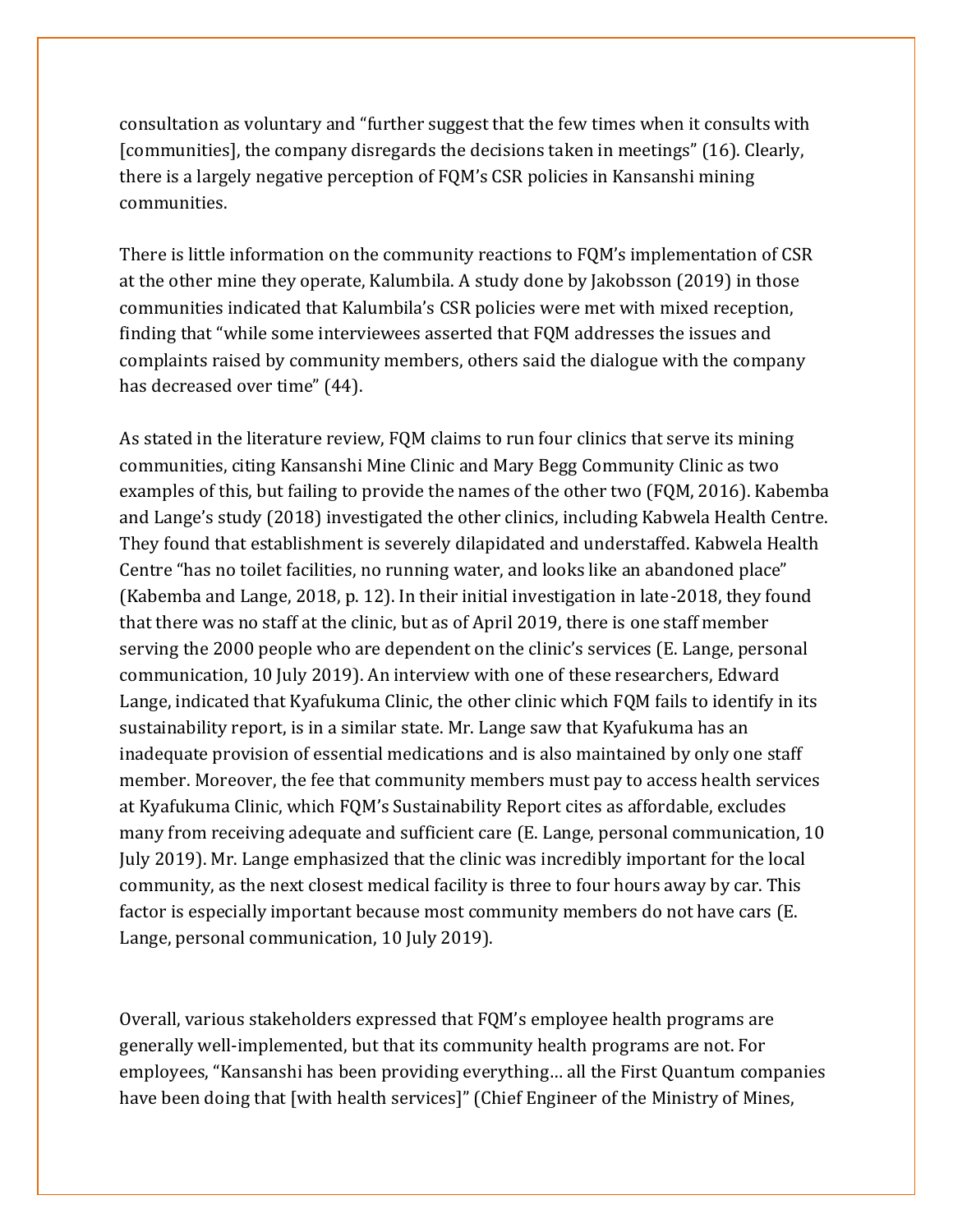consultation as voluntary and "further suggest that the few times when it consults with [communities], the company disregards the decisions taken in meetings" (16). Clearly, there is a largely negative perception of FQM's CSR policies in Kansanshi mining communities.

There is little information on the community reactions to FQM's implementation of CSR at the other mine they operate, Kalumbila. A study done by Jakobsson (2019) in those communities indicated that Kalumbila's CSR policies were met with mixed reception, finding that "while some interviewees asserted that FQM addresses the issues and complaints raised by community members, others said the dialogue with the company has decreased over time" (44).

As stated in the literature review, FQM claims to run four clinics that serve its mining communities, citing Kansanshi Mine Clinic and Mary Begg Community Clinic as two examples of this, but failing to provide the names of the other two (FQM, 2016). Kabemba and Lange's study (2018) investigated the other clinics, including Kabwela Health Centre. They found that establishment is severely dilapidated and understaffed. Kabwela Health Centre "has no toilet facilities, no running water, and looks like an abandoned place" (Kabemba and Lange, 2018, p. 12). In their initial investigation in late-2018, they found that there was no staff at the clinic, but as of April 2019, there is one staff member serving the 2000 people who are dependent on the clinic's services (E. Lange, personal communication, 10 July 2019). An interview with one of these researchers, Edward Lange, indicated that Kyafukuma Clinic, the other clinic which FQM fails to identify in its sustainability report, is in a similar state. Mr. Lange saw that Kyafukuma has an inadequate provision of essential medications and is also maintained by only one staff member. Moreover, the fee that community members must pay to access health services at Kyafukuma Clinic, which FQM's Sustainability Report cites as affordable, excludes many from receiving adequate and sufficient care (E. Lange, personal communication, 10 July 2019). Mr. Lange emphasized that the clinic was incredibly important for the local community, as the next closest medical facility is three to four hours away by car. This factor is especially important because most community members do not have cars (E. Lange, personal communication, 10 July 2019).

Overall, various stakeholders expressed that FQM's employee health programs are generally well-implemented, but that its community health programs are not. For employees, "Kansanshi has been providing everything… all the First Quantum companies have been doing that [with health services]" (Chief Engineer of the Ministry of Mines,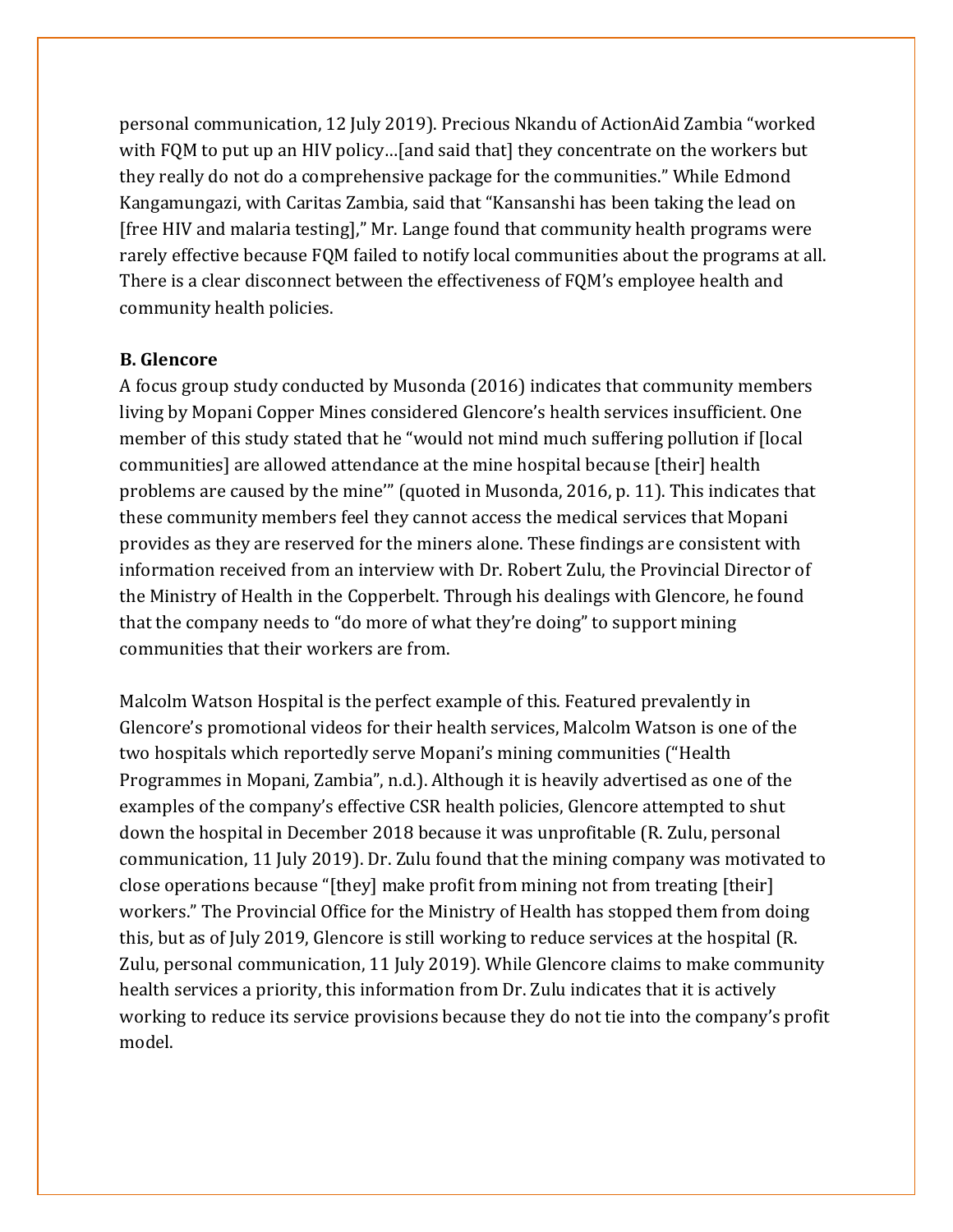personal communication, 12 July 2019). Precious Nkandu of ActionAid Zambia "worked with FQM to put up an HIV policy…[and said that] they concentrate on the workers but they really do not do a comprehensive package for the communities." While Edmond Kangamungazi, with Caritas Zambia, said that "Kansanshi has been taking the lead on [free HIV and malaria testing]," Mr. Lange found that community health programs were rarely effective because FQM failed to notify local communities about the programs at all. There is a clear disconnect between the effectiveness of FQM's employee health and community health policies.

#### **B. Glencore**

A focus group study conducted by Musonda (2016) indicates that community members living by Mopani Copper Mines considered Glencore's health services insufficient. One member of this study stated that he "would not mind much suffering pollution if [local communities] are allowed attendance at the mine hospital because [their] health problems are caused by the mine'" (quoted in Musonda, 2016, p. 11). This indicates that these community members feel they cannot access the medical services that Mopani provides as they are reserved for the miners alone. These findings are consistent with information received from an interview with Dr. Robert Zulu, the Provincial Director of the Ministry of Health in the Copperbelt. Through his dealings with Glencore, he found that the company needs to "do more of what they're doing" to support mining communities that their workers are from.

Malcolm Watson Hospital is the perfect example of this. Featured prevalently in Glencore's promotional videos for their health services, Malcolm Watson is one of the two hospitals which reportedly serve Mopani's mining communities ("Health Programmes in Mopani, Zambia", n.d.). Although it is heavily advertised as one of the examples of the company's effective CSR health policies, Glencore attempted to shut down the hospital in December 2018 because it was unprofitable (R. Zulu, personal communication, 11 July 2019). Dr. Zulu found that the mining company was motivated to close operations because "[they] make profit from mining not from treating [their] workers." The Provincial Office for the Ministry of Health has stopped them from doing this, but as of July 2019, Glencore is still working to reduce services at the hospital (R. Zulu, personal communication, 11 July 2019). While Glencore claims to make community health services a priority, this information from Dr. Zulu indicates that it is actively working to reduce its service provisions because they do not tie into the company's profit model.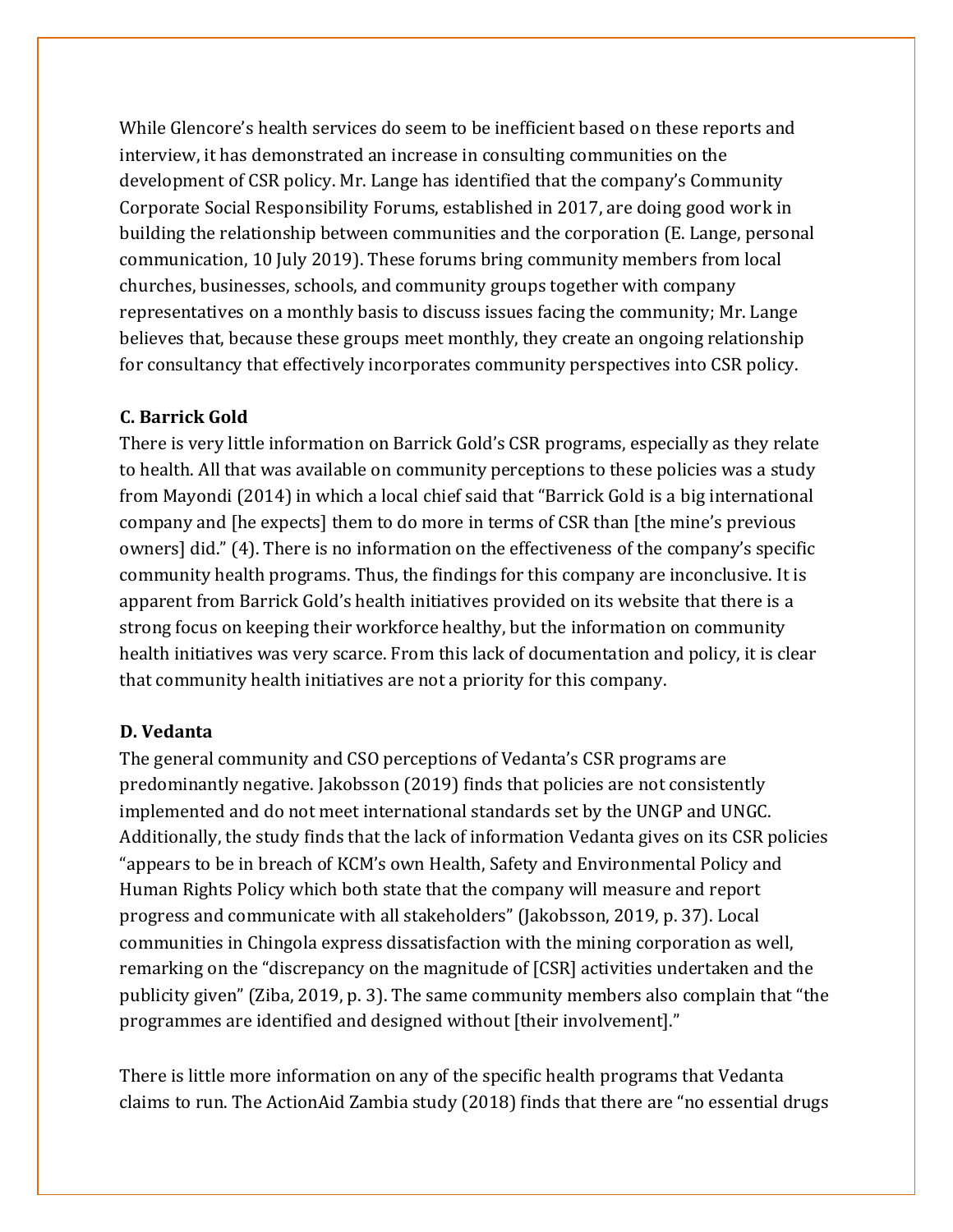While Glencore's health services do seem to be inefficient based on these reports and interview, it has demonstrated an increase in consulting communities on the development of CSR policy. Mr. Lange has identified that the company's Community Corporate Social Responsibility Forums, established in 2017, are doing good work in building the relationship between communities and the corporation (E. Lange, personal communication, 10 July 2019). These forums bring community members from local churches, businesses, schools, and community groups together with company representatives on a monthly basis to discuss issues facing the community; Mr. Lange believes that, because these groups meet monthly, they create an ongoing relationship for consultancy that effectively incorporates community perspectives into CSR policy.

#### **C. Barrick Gold**

There is very little information on Barrick Gold's CSR programs, especially as they relate to health. All that was available on community perceptions to these policies was a study from Mayondi (2014) in which a local chief said that "Barrick Gold is a big international company and [he expects] them to do more in terms of CSR than [the mine's previous owners] did." (4). There is no information on the effectiveness of the company's specific community health programs. Thus, the findings for this company are inconclusive. It is apparent from Barrick Gold's health initiatives provided on its website that there is a strong focus on keeping their workforce healthy, but the information on community health initiatives was very scarce. From this lack of documentation and policy, it is clear that community health initiatives are not a priority for this company.

#### **D. Vedanta**

The general community and CSO perceptions of Vedanta's CSR programs are predominantly negative. Jakobsson (2019) finds that policies are not consistently implemented and do not meet international standards set by the UNGP and UNGC. Additionally, the study finds that the lack of information Vedanta gives on its CSR policies "appears to be in breach of KCM's own Health, Safety and Environmental Policy and Human Rights Policy which both state that the company will measure and report progress and communicate with all stakeholders" (Jakobsson, 2019, p. 37). Local communities in Chingola express dissatisfaction with the mining corporation as well, remarking on the "discrepancy on the magnitude of [CSR] activities undertaken and the publicity given" (Ziba, 2019, p. 3). The same community members also complain that "the programmes are identified and designed without [their involvement]."

There is little more information on any of the specific health programs that Vedanta claims to run. The ActionAid Zambia study (2018) finds that there are "no essential drugs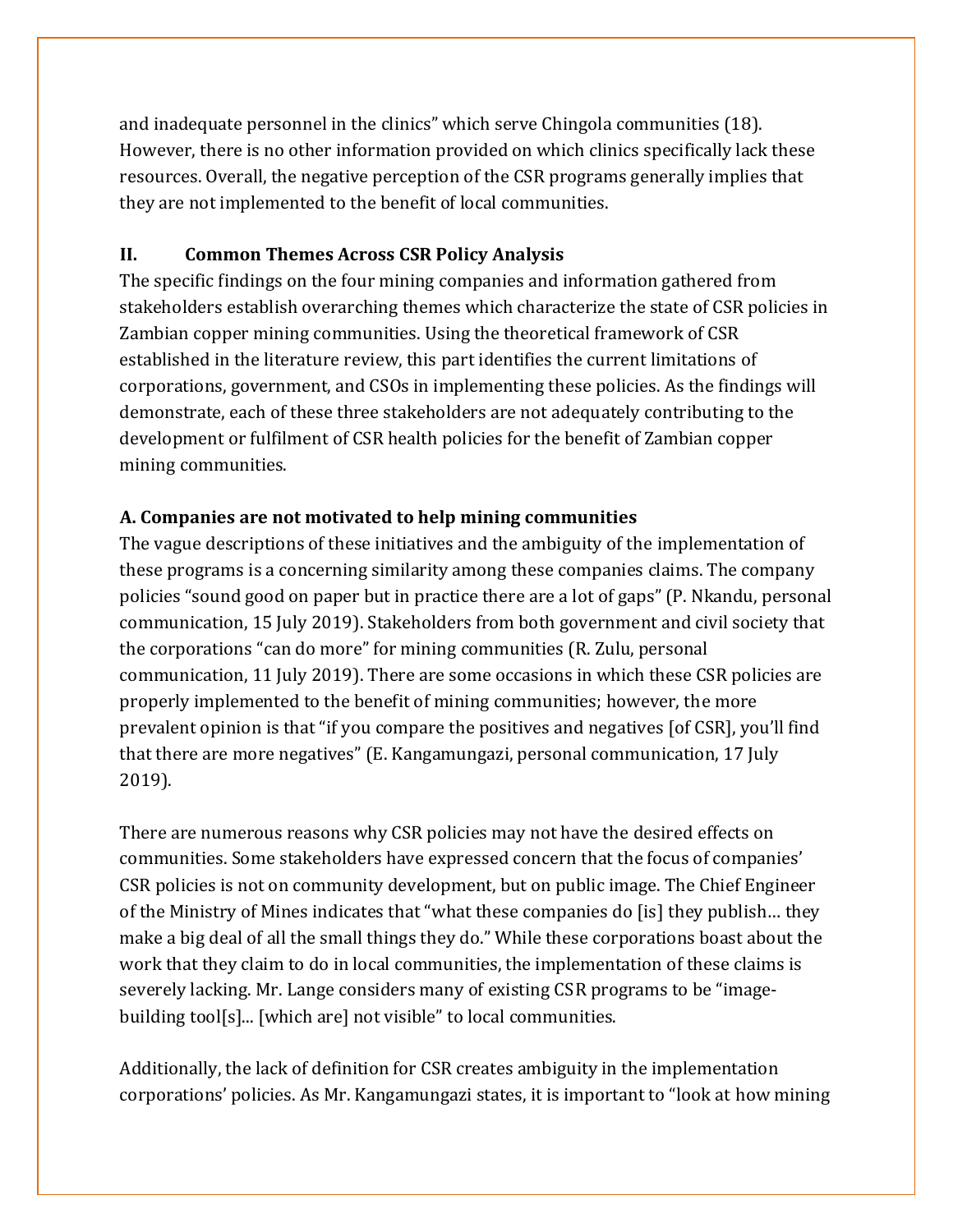and inadequate personnel in the clinics" which serve Chingola communities (18). However, there is no other information provided on which clinics specifically lack these resources. Overall, the negative perception of the CSR programs generally implies that they are not implemented to the benefit of local communities.

# **II. Common Themes Across CSR Policy Analysis**

The specific findings on the four mining companies and information gathered from stakeholders establish overarching themes which characterize the state of CSR policies in Zambian copper mining communities. Using the theoretical framework of CSR established in the literature review, this part identifies the current limitations of corporations, government, and CSOs in implementing these policies. As the findings will demonstrate, each of these three stakeholders are not adequately contributing to the development or fulfilment of CSR health policies for the benefit of Zambian copper mining communities.

# **A. Companies are not motivated to help mining communities**

The vague descriptions of these initiatives and the ambiguity of the implementation of these programs is a concerning similarity among these companies claims. The company policies "sound good on paper but in practice there are a lot of gaps" (P. Nkandu, personal communication, 15 July 2019). Stakeholders from both government and civil society that the corporations "can do more" for mining communities (R. Zulu, personal communication, 11 July 2019). There are some occasions in which these CSR policies are properly implemented to the benefit of mining communities; however, the more prevalent opinion is that "if you compare the positives and negatives [of CSR], you'll find that there are more negatives" (E. Kangamungazi, personal communication, 17 July 2019).

There are numerous reasons why CSR policies may not have the desired effects on communities. Some stakeholders have expressed concern that the focus of companies' CSR policies is not on community development, but on public image. The Chief Engineer of the Ministry of Mines indicates that "what these companies do [is] they publish… they make a big deal of all the small things they do." While these corporations boast about the work that they claim to do in local communities, the implementation of these claims is severely lacking. Mr. Lange considers many of existing CSR programs to be "imagebuilding tool[s]... [which are] not visible" to local communities.

Additionally, the lack of definition for CSR creates ambiguity in the implementation corporations' policies. As Mr. Kangamungazi states, it is important to "look at how mining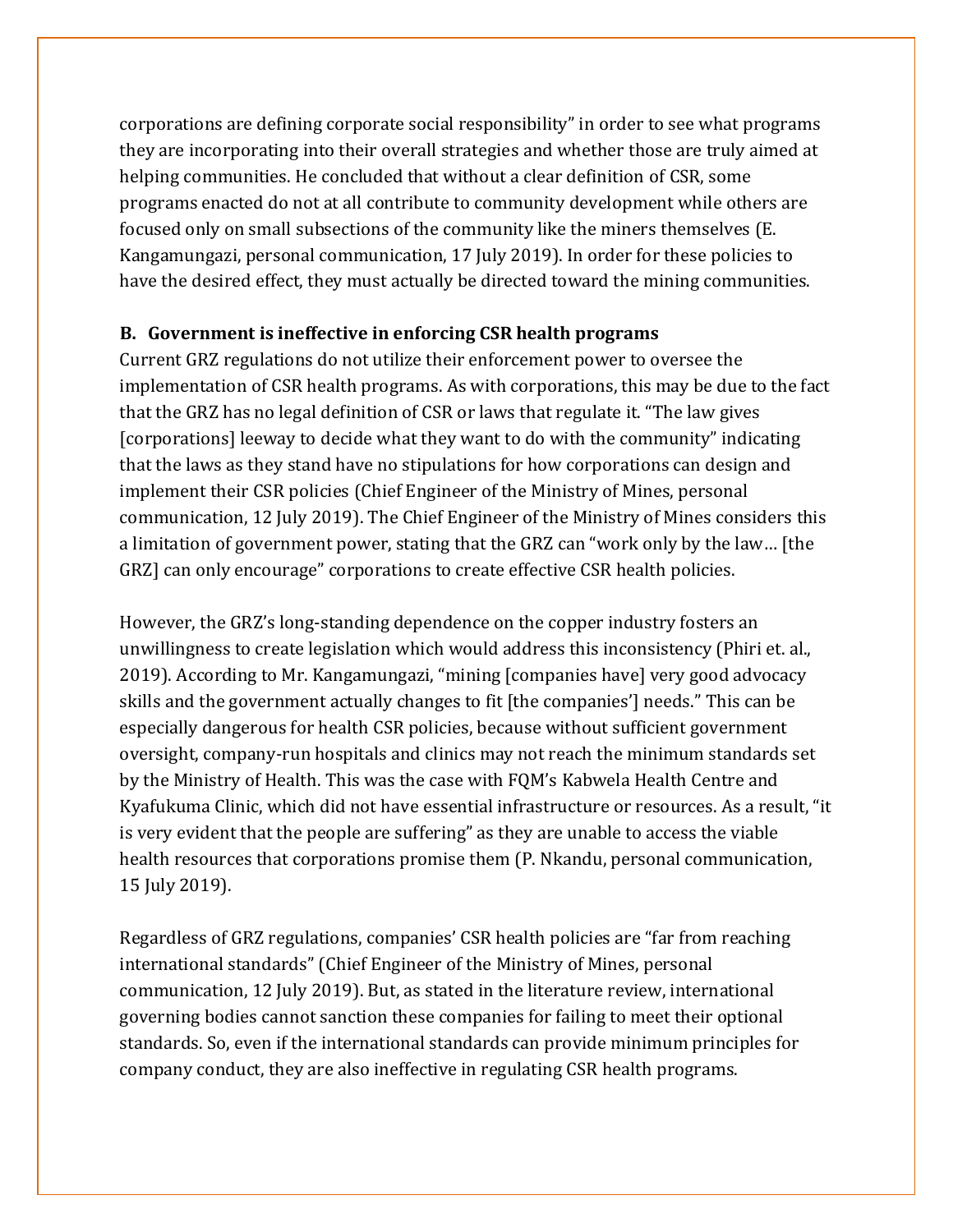corporations are defining corporate social responsibility" in order to see what programs they are incorporating into their overall strategies and whether those are truly aimed at helping communities. He concluded that without a clear definition of CSR, some programs enacted do not at all contribute to community development while others are focused only on small subsections of the community like the miners themselves (E. Kangamungazi, personal communication, 17 July 2019). In order for these policies to have the desired effect, they must actually be directed toward the mining communities.

## **B. Government is ineffective in enforcing CSR health programs**

Current GRZ regulations do not utilize their enforcement power to oversee the implementation of CSR health programs. As with corporations, this may be due to the fact that the GRZ has no legal definition of CSR or laws that regulate it. "The law gives [corporations] leeway to decide what they want to do with the community" indicating that the laws as they stand have no stipulations for how corporations can design and implement their CSR policies (Chief Engineer of the Ministry of Mines, personal communication, 12 July 2019). The Chief Engineer of the Ministry of Mines considers this a limitation of government power, stating that the GRZ can "work only by the law… [the GRZ] can only encourage" corporations to create effective CSR health policies.

However, the GRZ's long-standing dependence on the copper industry fosters an unwillingness to create legislation which would address this inconsistency (Phiri et. al., 2019). According to Mr. Kangamungazi, "mining [companies have] very good advocacy skills and the government actually changes to fit [the companies'] needs." This can be especially dangerous for health CSR policies, because without sufficient government oversight, company-run hospitals and clinics may not reach the minimum standards set by the Ministry of Health. This was the case with FQM's Kabwela Health Centre and Kyafukuma Clinic, which did not have essential infrastructure or resources. As a result, "it is very evident that the people are suffering" as they are unable to access the viable health resources that corporations promise them (P. Nkandu, personal communication, 15 July 2019).

Regardless of GRZ regulations, companies' CSR health policies are "far from reaching international standards" (Chief Engineer of the Ministry of Mines, personal communication, 12 July 2019). But, as stated in the literature review, international governing bodies cannot sanction these companies for failing to meet their optional standards. So, even if the international standards can provide minimum principles for company conduct, they are also ineffective in regulating CSR health programs.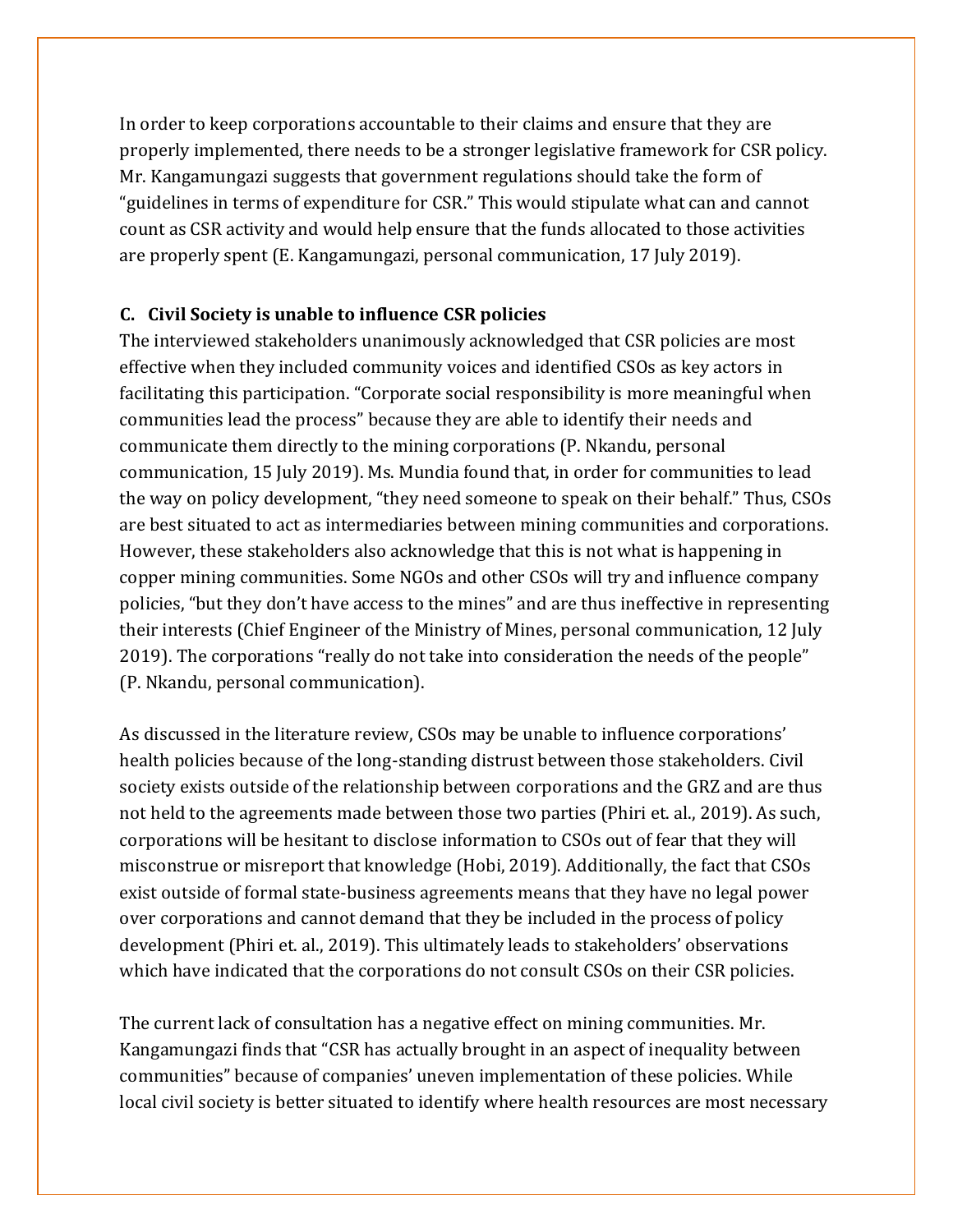In order to keep corporations accountable to their claims and ensure that they are properly implemented, there needs to be a stronger legislative framework for CSR policy. Mr. Kangamungazi suggests that government regulations should take the form of "guidelines in terms of expenditure for CSR." This would stipulate what can and cannot count as CSR activity and would help ensure that the funds allocated to those activities are properly spent (E. Kangamungazi, personal communication, 17 July 2019).

#### **C. Civil Society is unable to influence CSR policies**

The interviewed stakeholders unanimously acknowledged that CSR policies are most effective when they included community voices and identified CSOs as key actors in facilitating this participation. "Corporate social responsibility is more meaningful when communities lead the process" because they are able to identify their needs and communicate them directly to the mining corporations (P. Nkandu, personal communication, 15 July 2019). Ms. Mundia found that, in order for communities to lead the way on policy development, "they need someone to speak on their behalf." Thus, CSOs are best situated to act as intermediaries between mining communities and corporations. However, these stakeholders also acknowledge that this is not what is happening in copper mining communities. Some NGOs and other CSOs will try and influence company policies, "but they don't have access to the mines" and are thus ineffective in representing their interests (Chief Engineer of the Ministry of Mines, personal communication, 12 July 2019). The corporations "really do not take into consideration the needs of the people" (P. Nkandu, personal communication).

As discussed in the literature review, CSOs may be unable to influence corporations' health policies because of the long-standing distrust between those stakeholders. Civil society exists outside of the relationship between corporations and the GRZ and are thus not held to the agreements made between those two parties (Phiri et. al., 2019). As such, corporations will be hesitant to disclose information to CSOs out of fear that they will misconstrue or misreport that knowledge (Hobi, 2019). Additionally, the fact that CSOs exist outside of formal state-business agreements means that they have no legal power over corporations and cannot demand that they be included in the process of policy development (Phiri et. al., 2019). This ultimately leads to stakeholders' observations which have indicated that the corporations do not consult CSOs on their CSR policies.

The current lack of consultation has a negative effect on mining communities. Mr. Kangamungazi finds that "CSR has actually brought in an aspect of inequality between communities" because of companies' uneven implementation of these policies. While local civil society is better situated to identify where health resources are most necessary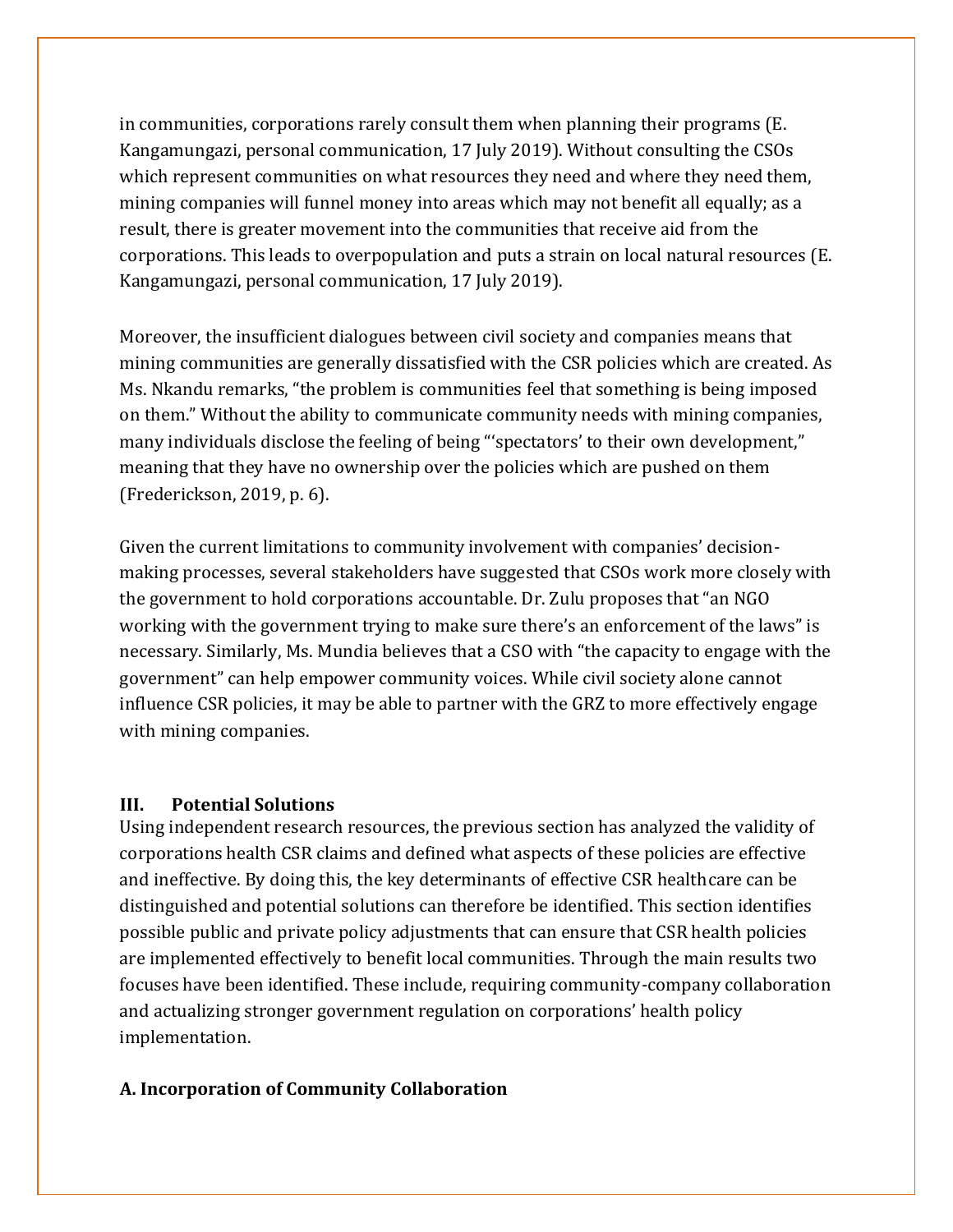in communities, corporations rarely consult them when planning their programs (E. Kangamungazi, personal communication, 17 July 2019). Without consulting the CSOs which represent communities on what resources they need and where they need them, mining companies will funnel money into areas which may not benefit all equally; as a result, there is greater movement into the communities that receive aid from the corporations. This leads to overpopulation and puts a strain on local natural resources (E. Kangamungazi, personal communication, 17 July 2019).

Moreover, the insufficient dialogues between civil society and companies means that mining communities are generally dissatisfied with the CSR policies which are created. As Ms. Nkandu remarks, "the problem is communities feel that something is being imposed on them." Without the ability to communicate community needs with mining companies, many individuals disclose the feeling of being "'spectators' to their own development," meaning that they have no ownership over the policies which are pushed on them (Frederickson, 2019, p. 6).

Given the current limitations to community involvement with companies' decisionmaking processes, several stakeholders have suggested that CSOs work more closely with the government to hold corporations accountable. Dr. Zulu proposes that "an NGO working with the government trying to make sure there's an enforcement of the laws" is necessary. Similarly, Ms. Mundia believes that a CSO with "the capacity to engage with the government" can help empower community voices. While civil society alone cannot influence CSR policies, it may be able to partner with the GRZ to more effectively engage with mining companies.

#### **III. Potential Solutions**

Using independent research resources, the previous section has analyzed the validity of corporations health CSR claims and defined what aspects of these policies are effective and ineffective. By doing this, the key determinants of effective CSR healthcare can be distinguished and potential solutions can therefore be identified. This section identifies possible public and private policy adjustments that can ensure that CSR health policies are implemented effectively to benefit local communities. Through the main results two focuses have been identified. These include, requiring community-company collaboration and actualizing stronger government regulation on corporations' health policy implementation.

#### **A. Incorporation of Community Collaboration**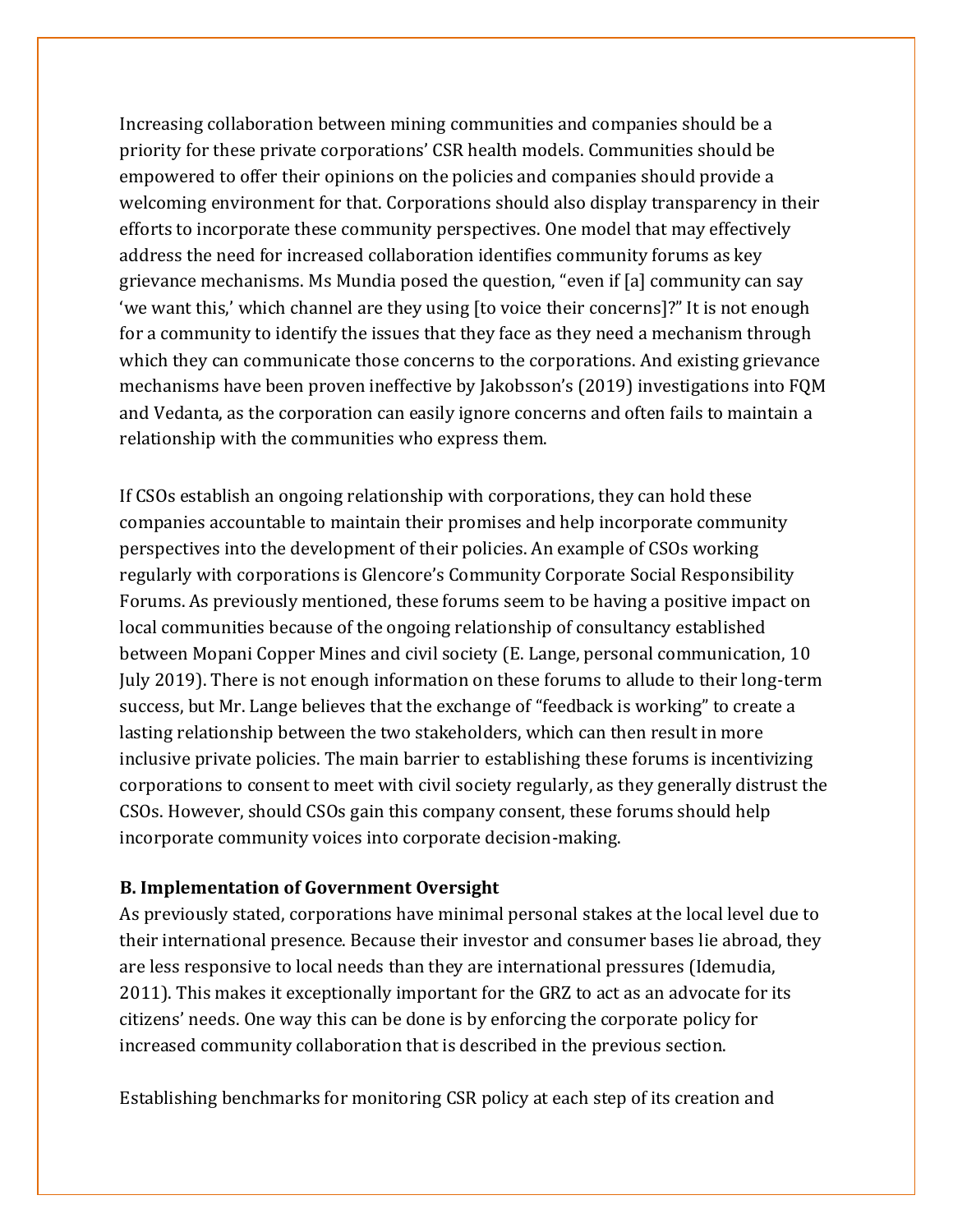Increasing collaboration between mining communities and companies should be a priority for these private corporations' CSR health models. Communities should be empowered to offer their opinions on the policies and companies should provide a welcoming environment for that. Corporations should also display transparency in their efforts to incorporate these community perspectives. One model that may effectively address the need for increased collaboration identifies community forums as key grievance mechanisms. Ms Mundia posed the question, "even if [a] community can say 'we want this,' which channel are they using [to voice their concerns]?" It is not enough for a community to identify the issues that they face as they need a mechanism through which they can communicate those concerns to the corporations. And existing grievance mechanisms have been proven ineffective by Jakobsson's (2019) investigations into FQM and Vedanta, as the corporation can easily ignore concerns and often fails to maintain a relationship with the communities who express them.

If CSOs establish an ongoing relationship with corporations, they can hold these companies accountable to maintain their promises and help incorporate community perspectives into the development of their policies. An example of CSOs working regularly with corporations is Glencore's Community Corporate Social Responsibility Forums. As previously mentioned, these forums seem to be having a positive impact on local communities because of the ongoing relationship of consultancy established between Mopani Copper Mines and civil society (E. Lange, personal communication, 10 July 2019). There is not enough information on these forums to allude to their long-term success, but Mr. Lange believes that the exchange of "feedback is working" to create a lasting relationship between the two stakeholders, which can then result in more inclusive private policies. The main barrier to establishing these forums is incentivizing corporations to consent to meet with civil society regularly, as they generally distrust the CSOs. However, should CSOs gain this company consent, these forums should help incorporate community voices into corporate decision-making.

#### **B. Implementation of Government Oversight**

As previously stated, corporations have minimal personal stakes at the local level due to their international presence. Because their investor and consumer bases lie abroad, they are less responsive to local needs than they are international pressures (Idemudia, 2011). This makes it exceptionally important for the GRZ to act as an advocate for its citizens' needs. One way this can be done is by enforcing the corporate policy for increased community collaboration that is described in the previous section.

Establishing benchmarks for monitoring CSR policy at each step of its creation and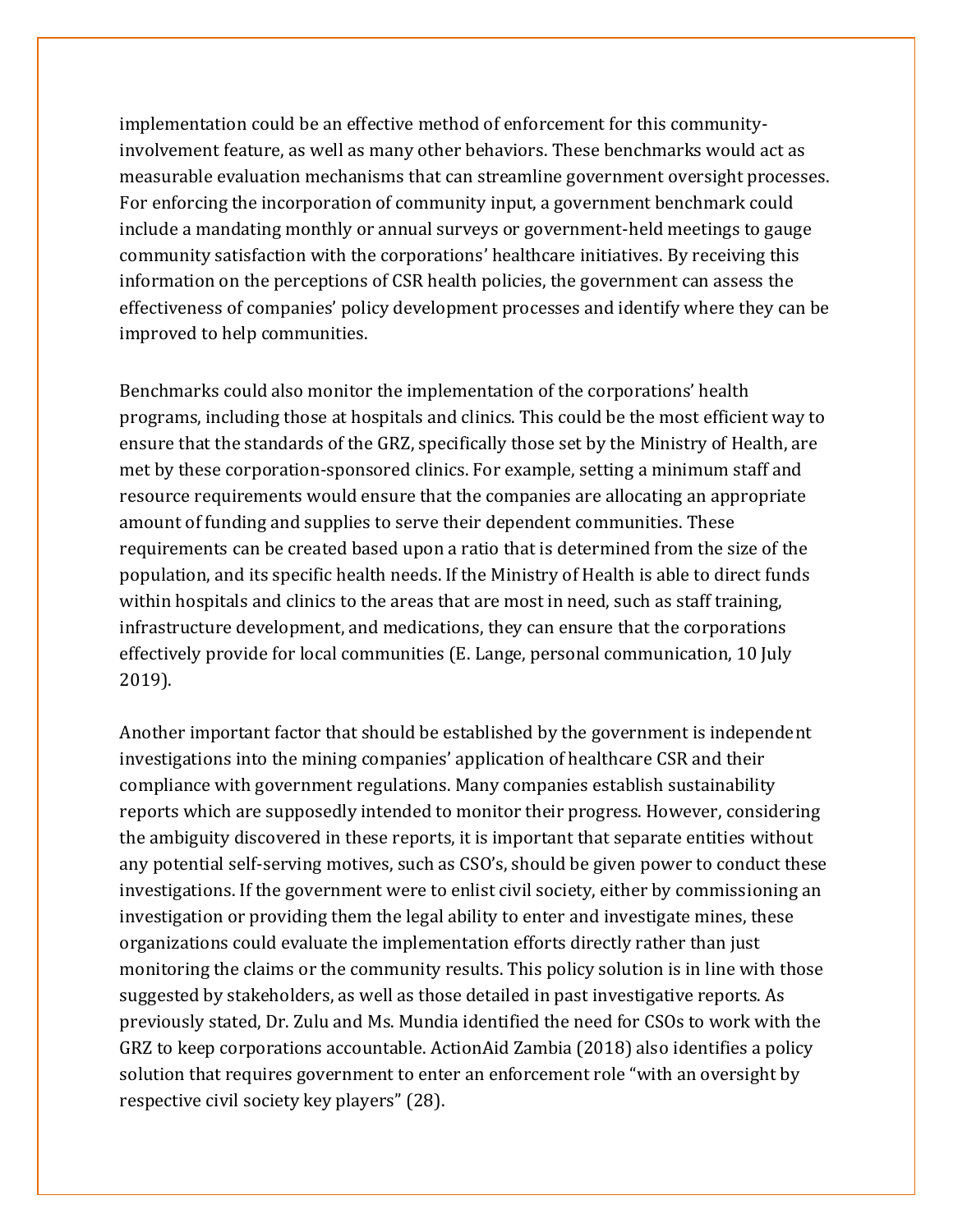implementation could be an effective method of enforcement for this communityinvolvement feature, as well as many other behaviors. These benchmarks would act as measurable evaluation mechanisms that can streamline government oversight processes. For enforcing the incorporation of community input, a government benchmark could include a mandating monthly or annual surveys or government-held meetings to gauge community satisfaction with the corporations' healthcare initiatives. By receiving this information on the perceptions of CSR health policies, the government can assess the effectiveness of companies' policy development processes and identify where they can be improved to help communities.

Benchmarks could also monitor the implementation of the corporations' health programs, including those at hospitals and clinics. This could be the most efficient way to ensure that the standards of the GRZ, specifically those set by the Ministry of Health, are met by these corporation-sponsored clinics. For example, setting a minimum staff and resource requirements would ensure that the companies are allocating an appropriate amount of funding and supplies to serve their dependent communities. These requirements can be created based upon a ratio that is determined from the size of the population, and its specific health needs. If the Ministry of Health is able to direct funds within hospitals and clinics to the areas that are most in need, such as staff training, infrastructure development, and medications, they can ensure that the corporations effectively provide for local communities (E. Lange, personal communication, 10 July 2019).

Another important factor that should be established by the government is independent investigations into the mining companies' application of healthcare CSR and their compliance with government regulations. Many companies establish sustainability reports which are supposedly intended to monitor their progress. However, considering the ambiguity discovered in these reports, it is important that separate entities without any potential self-serving motives, such as CSO's, should be given power to conduct these investigations. If the government were to enlist civil society, either by commissioning an investigation or providing them the legal ability to enter and investigate mines, these organizations could evaluate the implementation efforts directly rather than just monitoring the claims or the community results. This policy solution is in line with those suggested by stakeholders, as well as those detailed in past investigative reports. As previously stated, Dr. Zulu and Ms. Mundia identified the need for CSOs to work with the GRZ to keep corporations accountable. ActionAid Zambia (2018) also identifies a policy solution that requires government to enter an enforcement role "with an oversight by respective civil society key players" (28).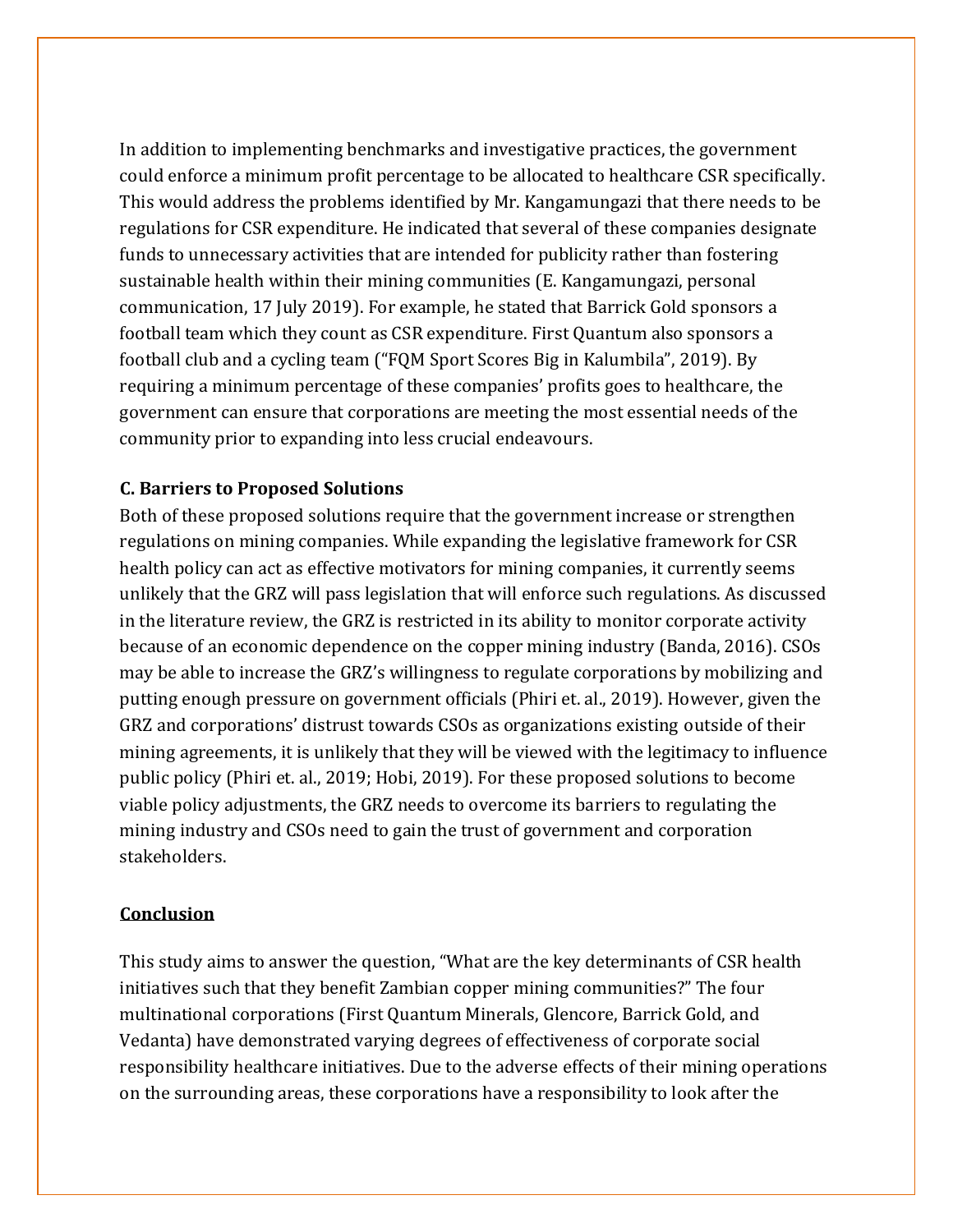In addition to implementing benchmarks and investigative practices, the government could enforce a minimum profit percentage to be allocated to healthcare CSR specifically. This would address the problems identified by Mr. Kangamungazi that there needs to be regulations for CSR expenditure. He indicated that several of these companies designate funds to unnecessary activities that are intended for publicity rather than fostering sustainable health within their mining communities (E. Kangamungazi, personal communication, 17 July 2019). For example, he stated that Barrick Gold sponsors a football team which they count as CSR expenditure. First Quantum also sponsors a football club and a cycling team ("FQM Sport Scores Big in Kalumbila", 2019). By requiring a minimum percentage of these companies' profits goes to healthcare, the government can ensure that corporations are meeting the most essential needs of the community prior to expanding into less crucial endeavours.

#### **C. Barriers to Proposed Solutions**

Both of these proposed solutions require that the government increase or strengthen regulations on mining companies. While expanding the legislative framework for CSR health policy can act as effective motivators for mining companies, it currently seems unlikely that the GRZ will pass legislation that will enforce such regulations. As discussed in the literature review, the GRZ is restricted in its ability to monitor corporate activity because of an economic dependence on the copper mining industry (Banda, 2016). CSOs may be able to increase the GRZ's willingness to regulate corporations by mobilizing and putting enough pressure on government officials (Phiri et. al., 2019). However, given the GRZ and corporations' distrust towards CSOs as organizations existing outside of their mining agreements, it is unlikely that they will be viewed with the legitimacy to influence public policy (Phiri et. al., 2019; Hobi, 2019). For these proposed solutions to become viable policy adjustments, the GRZ needs to overcome its barriers to regulating the mining industry and CSOs need to gain the trust of government and corporation stakeholders.

#### **Conclusion**

This study aims to answer the question, "What are the key determinants of CSR health initiatives such that they benefit Zambian copper mining communities?" The four multinational corporations (First Quantum Minerals, Glencore, Barrick Gold, and Vedanta) have demonstrated varying degrees of effectiveness of corporate social responsibility healthcare initiatives. Due to the adverse effects of their mining operations on the surrounding areas, these corporations have a responsibility to look after the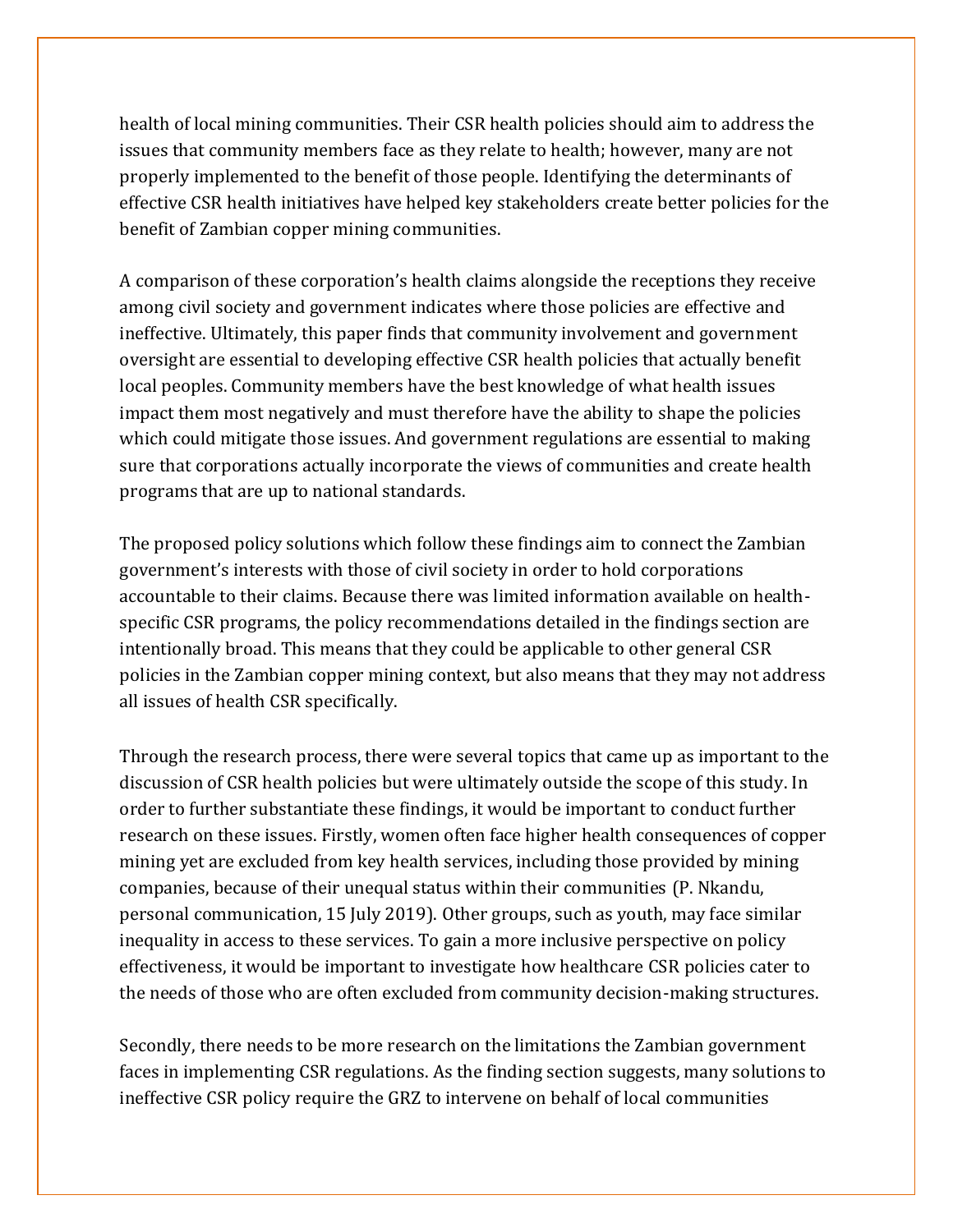health of local mining communities. Their CSR health policies should aim to address the issues that community members face as they relate to health; however, many are not properly implemented to the benefit of those people. Identifying the determinants of effective CSR health initiatives have helped key stakeholders create better policies for the benefit of Zambian copper mining communities.

A comparison of these corporation's health claims alongside the receptions they receive among civil society and government indicates where those policies are effective and ineffective. Ultimately, this paper finds that community involvement and government oversight are essential to developing effective CSR health policies that actually benefit local peoples. Community members have the best knowledge of what health issues impact them most negatively and must therefore have the ability to shape the policies which could mitigate those issues. And government regulations are essential to making sure that corporations actually incorporate the views of communities and create health programs that are up to national standards.

The proposed policy solutions which follow these findings aim to connect the Zambian government's interests with those of civil society in order to hold corporations accountable to their claims. Because there was limited information available on healthspecific CSR programs, the policy recommendations detailed in the findings section are intentionally broad. This means that they could be applicable to other general CSR policies in the Zambian copper mining context, but also means that they may not address all issues of health CSR specifically.

Through the research process, there were several topics that came up as important to the discussion of CSR health policies but were ultimately outside the scope of this study. In order to further substantiate these findings, it would be important to conduct further research on these issues. Firstly, women often face higher health consequences of copper mining yet are excluded from key health services, including those provided by mining companies, because of their unequal status within their communities (P. Nkandu, personal communication, 15 July 2019). Other groups, such as youth, may face similar inequality in access to these services. To gain a more inclusive perspective on policy effectiveness, it would be important to investigate how healthcare CSR policies cater to the needs of those who are often excluded from community decision-making structures.

Secondly, there needs to be more research on the limitations the Zambian government faces in implementing CSR regulations. As the finding section suggests, many solutions to ineffective CSR policy require the GRZ to intervene on behalf of local communities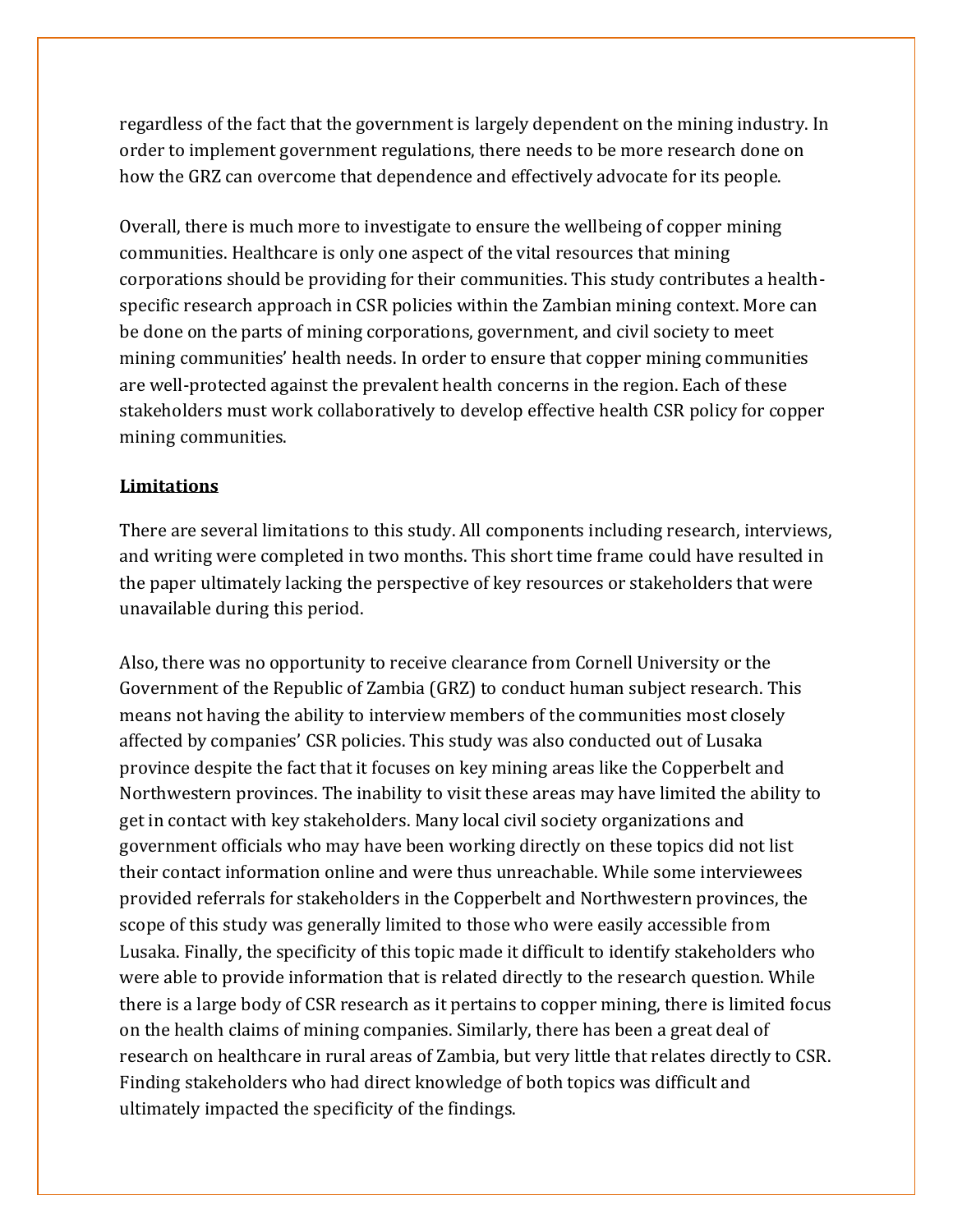regardless of the fact that the government is largely dependent on the mining industry. In order to implement government regulations, there needs to be more research done on how the GRZ can overcome that dependence and effectively advocate for its people.

Overall, there is much more to investigate to ensure the wellbeing of copper mining communities. Healthcare is only one aspect of the vital resources that mining corporations should be providing for their communities. This study contributes a healthspecific research approach in CSR policies within the Zambian mining context. More can be done on the parts of mining corporations, government, and civil society to meet mining communities' health needs. In order to ensure that copper mining communities are well-protected against the prevalent health concerns in the region. Each of these stakeholders must work collaboratively to develop effective health CSR policy for copper mining communities.

#### **Limitations**

There are several limitations to this study. All components including research, interviews, and writing were completed in two months. This short time frame could have resulted in the paper ultimately lacking the perspective of key resources or stakeholders that were unavailable during this period.

Also, there was no opportunity to receive clearance from Cornell University or the Government of the Republic of Zambia (GRZ) to conduct human subject research. This means not having the ability to interview members of the communities most closely affected by companies' CSR policies. This study was also conducted out of Lusaka province despite the fact that it focuses on key mining areas like the Copperbelt and Northwestern provinces. The inability to visit these areas may have limited the ability to get in contact with key stakeholders. Many local civil society organizations and government officials who may have been working directly on these topics did not list their contact information online and were thus unreachable. While some interviewees provided referrals for stakeholders in the Copperbelt and Northwestern provinces, the scope of this study was generally limited to those who were easily accessible from Lusaka. Finally, the specificity of this topic made it difficult to identify stakeholders who were able to provide information that is related directly to the research question. While there is a large body of CSR research as it pertains to copper mining, there is limited focus on the health claims of mining companies. Similarly, there has been a great deal of research on healthcare in rural areas of Zambia, but very little that relates directly to CSR. Finding stakeholders who had direct knowledge of both topics was difficult and ultimately impacted the specificity of the findings.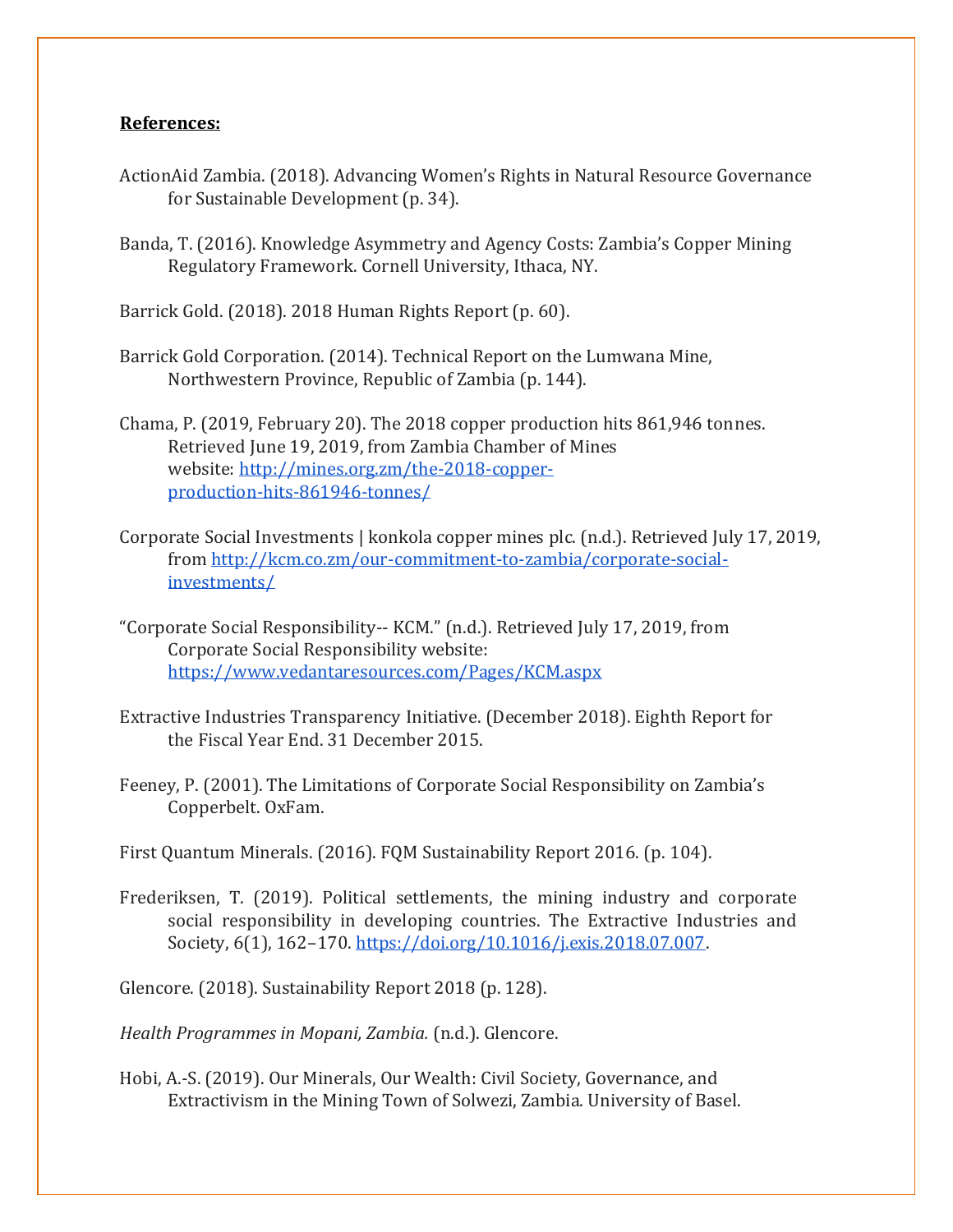#### **References:**

- ActionAid Zambia. (2018). Advancing Women's Rights in Natural Resource Governance for Sustainable Development (p. 34).
- Banda, T. (2016). Knowledge Asymmetry and Agency Costs: Zambia's Copper Mining Regulatory Framework. Cornell University, Ithaca, NY.
- Barrick Gold. (2018). 2018 Human Rights Report (p. 60).
- Barrick Gold Corporation. (2014). Technical Report on the Lumwana Mine, Northwestern Province, Republic of Zambia (p. 144).
- Chama, P. (2019, February 20). The 2018 copper production hits 861,946 tonnes. Retrieved June 19, 2019, from Zambia Chamber of Mines website: [http://mines.org.zm/the-2018-copper](http://mines.org.zm/the-2018-copper-production-hits-861946-tonnes/)[production-hits-861946-tonnes/](http://mines.org.zm/the-2018-copper-production-hits-861946-tonnes/)
- Corporate Social Investments | konkola copper mines plc. (n.d.). Retrieved July 17, 2019, fro[m http://kcm.co.zm/our-commitment-to-zambia/corporate-social](http://kcm.co.zm/our-commitment-to-zambia/corporate-social-investments/)[investments/](http://kcm.co.zm/our-commitment-to-zambia/corporate-social-investments/)
- "Corporate Social Responsibility-- KCM." (n.d.). Retrieved July 17, 2019, from Corporate Social Responsibility website: <https://www.vedantaresources.com/Pages/KCM.aspx>
- Extractive Industries Transparency Initiative. (December 2018). Eighth Report for the Fiscal Year End. 31 December 2015.
- Feeney, P. (2001). The Limitations of Corporate Social Responsibility on Zambia's Copperbelt. OxFam.
- First Quantum Minerals. (2016). FQM Sustainability Report 2016. (p. 104).
- Frederiksen, T. (2019). Political settlements, the mining industry and corporate social responsibility in developing countries. The Extractive Industries and Society, 6(1), 162–170[. https://doi.org/10.1016/j.exis.2018.07.007.](https://doi.org/10.1016/j.exis.2018.07.007)
- Glencore. (2018). Sustainability Report 2018 (p. 128).

*Health Programmes in Mopani, Zambia.* (n.d.). Glencore.

Hobi, A.-S. (2019). Our Minerals, Our Wealth: Civil Society, Governance, and Extractivism in the Mining Town of Solwezi, Zambia. University of Basel.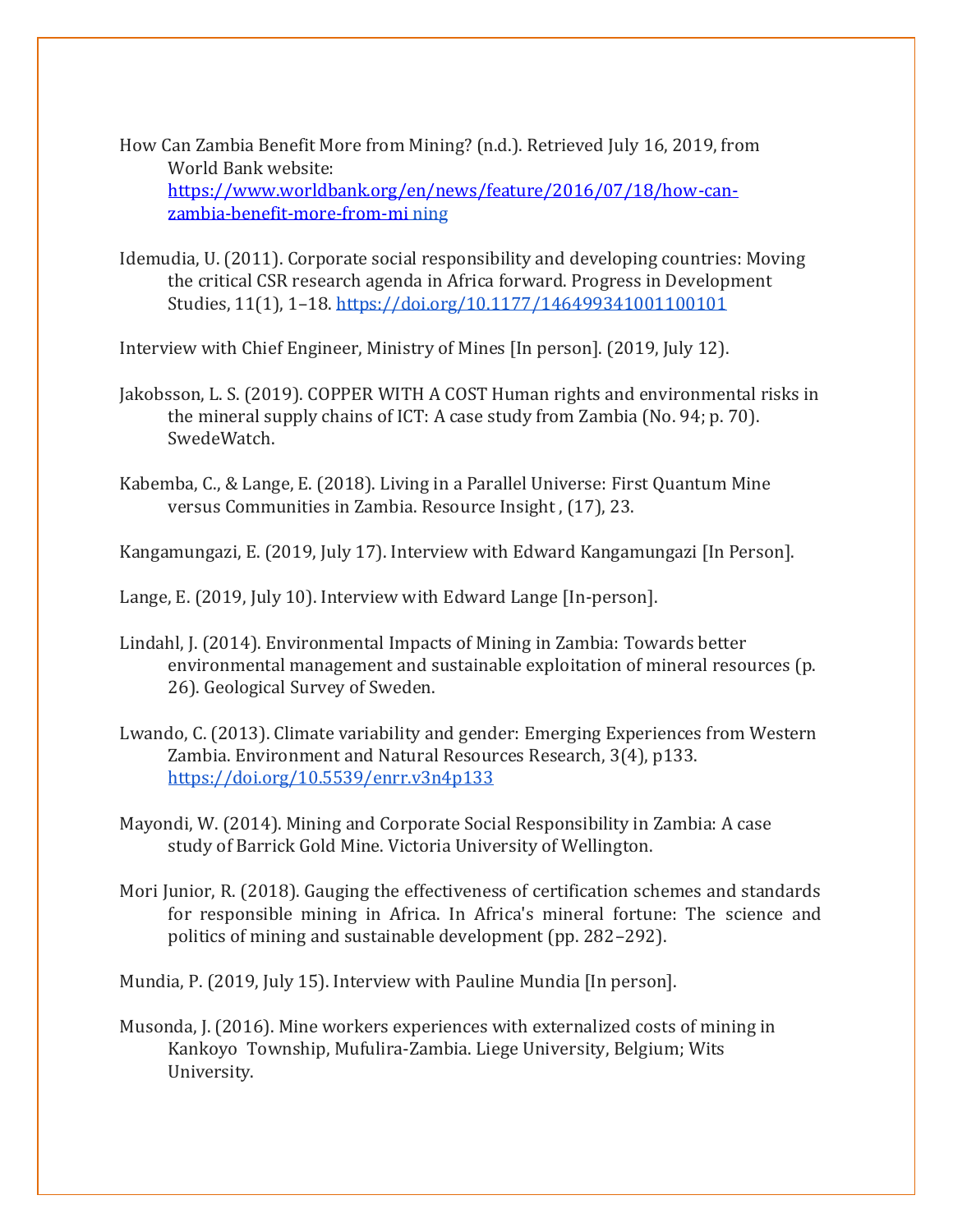- How Can Zambia Benefit More from Mining? (n.d.). Retrieved July 16, 2019, from World Bank website: [https://www.worldbank.org/en/news/feature/2016/07/18/how-can](https://www.worldbank.org/en/news/feature/2016/07/18/how-can-zambia-benefit-more-from-mi)[zambia-benefit-more-from-mi](https://www.worldbank.org/en/news/feature/2016/07/18/how-can-zambia-benefit-more-from-mi) [ning](https://www.worldbank.org/en/news/feature/2016/07/18/how-can-zambia-benefit-more-from-mining)
- Idemudia, U. (2011). Corporate social responsibility and developing countries: Moving the critical CSR research agenda in Africa forward. Progress in Development Studies, 11(1), 1–18.<https://doi.org/10.1177/146499341001100101>

Interview with Chief Engineer, Ministry of Mines [In person]. (2019, July 12).

- Jakobsson, L. S. (2019). COPPER WITH A COST Human rights and environmental risks in the mineral supply chains of ICT: A case study from Zambia (No. 94; p. 70). SwedeWatch.
- Kabemba, C., & Lange, E. (2018). Living in a Parallel Universe: First Quantum Mine versus Communities in Zambia. Resource Insight , (17), 23.

Kangamungazi, E. (2019, July 17). Interview with Edward Kangamungazi [In Person].

Lange, E. (2019, July 10). Interview with Edward Lange [In-person].

- Lindahl, J. (2014). Environmental Impacts of Mining in Zambia: Towards better environmental management and sustainable exploitation of mineral resources (p. 26). Geological Survey of Sweden.
- Lwando, C. (2013). Climate variability and gender: Emerging Experiences from Western Zambia. Environment and Natural Resources Research, 3(4), p133. <https://doi.org/10.5539/enrr.v3n4p133>
- Mayondi, W. (2014). Mining and Corporate Social Responsibility in Zambia: A case study of Barrick Gold Mine. Victoria University of Wellington.
- Mori Junior, R. (2018). Gauging the effectiveness of certification schemes and standards for responsible mining in Africa. In Africa's mineral fortune: The science and politics of mining and sustainable development (pp. 282–292).

Mundia, P. (2019, July 15). Interview with Pauline Mundia [In person].

Musonda, J. (2016). Mine workers experiences with externalized costs of mining in Kankoyo Township, Mufulira-Zambia. Liege University, Belgium; Wits University.